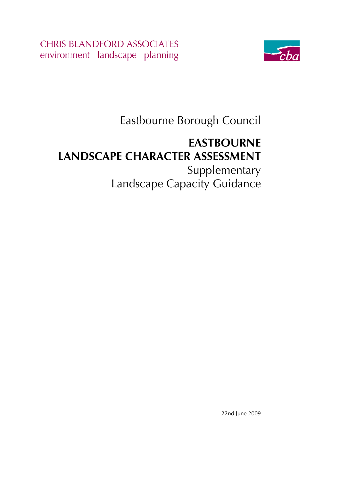**CHRIS BLANDFORD ASSOCIATES** environment landscape planning



Eastbourne Borough Council

# **EASTBOURNE LANDSCAPE CHARACTER ASSESSMENT**  Supplementary

Landscape Capacity Guidance

22nd June 2009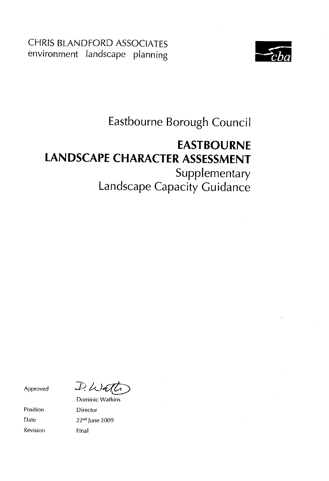**CHRIS BLANDFORD ASSOCIATES** environment landscape planning



# Eastbourne Borough Council

# **EASTBOURNE LANDSCAPE CHARACTER ASSESSMENT** Supplementary

Landscape Capacity Guidance

Approved

Position Date Revision

 $D.$  Wall

**Dominic Watkins** Director 22<sup>nd</sup> June 2009 Final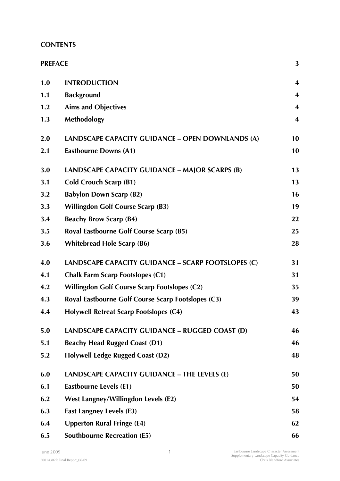# **CONTENTS**

| <b>PREFACE</b> |                                                     | 3                       |
|----------------|-----------------------------------------------------|-------------------------|
| 1.0            | <b>INTRODUCTION</b>                                 | $\overline{\mathbf{4}}$ |
| 1.1            | <b>Background</b>                                   | $\overline{\mathbf{4}}$ |
| 1.2            | <b>Aims and Objectives</b>                          | $\overline{\mathbf{4}}$ |
| 1.3            | <b>Methodology</b>                                  | $\overline{\mathbf{4}}$ |
| 2.0            | LANDSCAPE CAPACITY GUIDANCE - OPEN DOWNLANDS (A)    | 10                      |
| 2.1            | <b>Eastbourne Downs (A1)</b>                        | 10                      |
| 3.0            | LANDSCAPE CAPACITY GUIDANCE – MAJOR SCARPS (B)      | 13                      |
| 3.1            | <b>Cold Crouch Scarp (B1)</b>                       | 13                      |
| 3.2            | <b>Babylon Down Scarp (B2)</b>                      | 16                      |
| 3.3            | <b>Willingdon Golf Course Scarp (B3)</b>            | 19                      |
| 3.4            | <b>Beachy Brow Scarp (B4)</b>                       | 22                      |
| 3.5            | Royal Eastbourne Golf Course Scarp (B5)             | 25                      |
| 3.6            | <b>Whitebread Hole Scarp (B6)</b>                   | 28                      |
| 4.0            | LANDSCAPE CAPACITY GUIDANCE - SCARP FOOTSLOPES (C)  | 31                      |
| 4.1            | <b>Chalk Farm Scarp Footslopes (C1)</b>             | 31                      |
| 4.2            | <b>Willingdon Golf Course Scarp Footslopes (C2)</b> | 35                      |
| 4.3            | Royal Eastbourne Golf Course Scarp Footslopes (C3)  | 39                      |
| 4.4            | <b>Holywell Retreat Scarp Footslopes (C4)</b>       | 43                      |
| 5.0            | LANDSCAPE CAPACITY GUIDANCE - RUGGED COAST (D)      | 46                      |
| 5.1            | <b>Beachy Head Rugged Coast (D1)</b>                | 46                      |
| 5.2            | <b>Holywell Ledge Rugged Coast (D2)</b>             | 48                      |
| 6.0            | LANDSCAPE CAPACITY GUIDANCE - THE LEVELS (E)        | 50                      |
| 6.1            | <b>Eastbourne Levels (E1)</b>                       | 50                      |
| 6.2            | <b>West Langney/Willingdon Levels (E2)</b>          | 54                      |
| 6.3            | <b>East Langney Levels (E3)</b>                     | 58                      |
| 6.4            | <b>Upperton Rural Fringe (E4)</b>                   | 62                      |
| 6.5            | <b>Southbourne Recreation (E5)</b>                  | 66                      |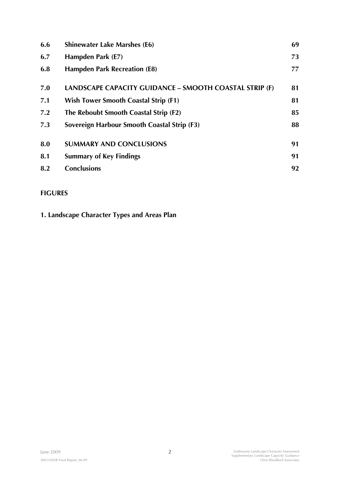| 6.6 | <b>Shinewater Lake Marshes (E6)</b>                    | 69 |
|-----|--------------------------------------------------------|----|
| 6.7 | Hampden Park (E7)                                      | 73 |
| 6.8 | <b>Hampden Park Recreation (E8)</b>                    | 77 |
| 7.0 | LANDSCAPE CAPACITY GUIDANCE - SMOOTH COASTAL STRIP (F) | 81 |
| 7.1 | Wish Tower Smooth Coastal Strip (F1)                   | 81 |
| 7.2 | The Reboubt Smooth Coastal Strip (F2)                  | 85 |
| 7.3 | Sovereign Harbour Smooth Coastal Strip (F3)            | 88 |
| 8.0 | <b>SUMMARY AND CONCLUSIONS</b>                         | 91 |
| 8.1 | <b>Summary of Key Findings</b>                         | 91 |
| 8.2 | <b>Conclusions</b>                                     | 92 |
|     |                                                        |    |

# **FIGURES**

**1. Landscape Character Types and Areas Plan**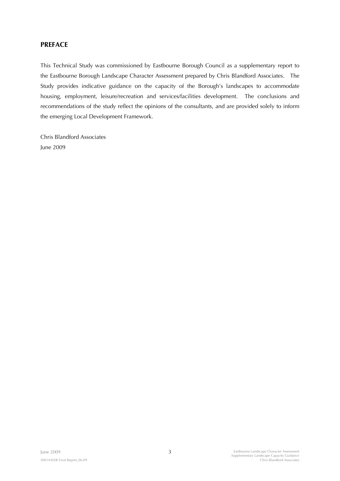## **PREFACE**

This Technical Study was commissioned by Eastbourne Borough Council as a supplementary report to the Eastbourne Borough Landscape Character Assessment prepared by Chris Blandford Associates. The Study provides indicative guidance on the capacity of the Borough's landscapes to accommodate housing, employment, leisure/recreation and services/facilities development. The conclusions and recommendations of the study reflect the opinions of the consultants, and are provided solely to inform the emerging Local Development Framework.

Chris Blandford Associates June 2009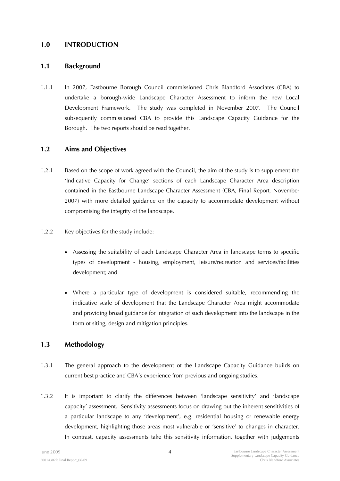### **1.0 INTRODUCTION**

### **1.1 Background**

1.1.1 In 2007, Eastbourne Borough Council commissioned Chris Blandford Associates (CBA) to undertake a borough-wide Landscape Character Assessment to inform the new Local Development Framework. The study was completed in November 2007. The Council subsequently commissioned CBA to provide this Landscape Capacity Guidance for the Borough. The two reports should be read together.

### **1.2 Aims and Objectives**

- 1.2.1 Based on the scope of work agreed with the Council, the aim of the study is to supplement the 'Indicative Capacity for Change' sections of each Landscape Character Area description contained in the Eastbourne Landscape Character Assessment (CBA, Final Report, November 2007) with more detailed guidance on the capacity to accommodate development without compromising the integrity of the landscape.
- 1.2.2 Key objectives for the study include:
	- Assessing the suitability of each Landscape Character Area in landscape terms to specific types of development - housing, employment, leisure/recreation and services/facilities development; and
	- Where a particular type of development is considered suitable, recommending the indicative scale of development that the Landscape Character Area might accommodate and providing broad guidance for integration of such development into the landscape in the form of siting, design and mitigation principles.

## **1.3 Methodology**

- 1.3.1 The general approach to the development of the Landscape Capacity Guidance builds on current best practice and CBA's experience from previous and ongoing studies.
- 1.3.2 It is important to clarify the differences between 'landscape sensitivity' and 'landscape capacity' assessment. Sensitivity assessments focus on drawing out the inherent sensitivities of a particular landscape to any 'development', e.g. residential housing or renewable energy development, highlighting those areas most vulnerable or 'sensitive' to changes in character. In contrast, capacity assessments take this sensitivity information, together with judgements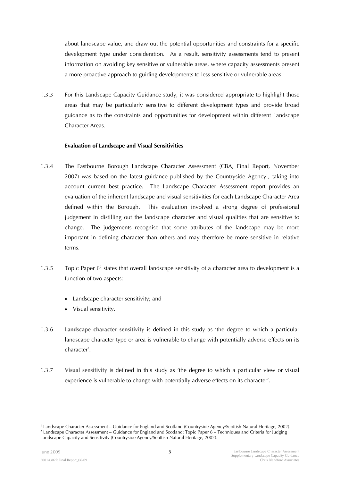about landscape value, and draw out the potential opportunities and constraints for a specific development type under consideration. As a result, sensitivity assessments tend to present information on avoiding key sensitive or vulnerable areas, where capacity assessments present a more proactive approach to guiding developments to less sensitive or vulnerable areas.

1.3.3 For this Landscape Capacity Guidance study, it was considered appropriate to highlight those areas that may be particularly sensitive to different development types and provide broad guidance as to the constraints and opportunities for development within different Landscape Character Areas.

### **Evaluation of Landscape and Visual Sensitivities**

- 1.3.4 The Eastbourne Borough Landscape Character Assessment (CBA, Final Report, November  $2007$ ) was based on the latest guidance published by the Countryside Agency<sup>1</sup>, taking into account current best practice. The Landscape Character Assessment report provides an evaluation of the inherent landscape and visual sensitivities for each Landscape Character Area defined within the Borough. This evaluation involved a strong degree of professional judgement in distilling out the landscape character and visual qualities that are sensitive to change. The judgements recognise that some attributes of the landscape may be more important in defining character than others and may therefore be more sensitive in relative terms.
- 1.3.5 Topic Paper 6<sup>2</sup> states that overall landscape sensitivity of a character area to development is a function of two aspects:
	- Landscape character sensitivity; and
	- Visual sensitivity.
- 1.3.6 **Landscape character sensitivity** is defined in this study as 'the degree to which a particular landscape character type or area is vulnerable to change with potentially adverse effects on its character'.
- 1.3.7 **Visual sensitivity** is defined in this study as 'the degree to which a particular view or visual experience is vulnerable to change with potentially adverse effects on its character'.

-

<sup>&</sup>lt;sup>1</sup> Landscape Character Assessment – Guidance for England and Scotland (Countryside Agency/Scottish Natural Heritage, 2002).<br><sup>2</sup> Landscape Character Assessment – Guidance for England and Scotland: Tonic Paner 6 – Technique <sup>2</sup> Landscape Character Assessment – Guidance for England and Scotland: Topic Paper 6 – Techniques and Criteria for Judging Landscape Capacity and Sensitivity (Countryside Agency/Scottish Natural Heritage, 2002).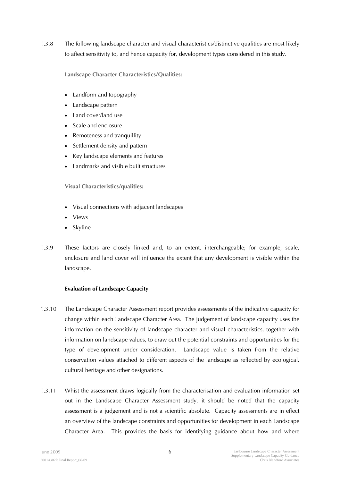1.3.8 The following landscape character and visual characteristics/distinctive qualities are most likely to affect sensitivity to, and hence capacity for, development types considered in this study.

**Landscape Character Characteristics/Qualities:** 

- Landform and topography
- Landscape pattern
- Land cover/land use
- Scale and enclosure
- Remoteness and tranquillity
- Settlement density and pattern
- Key landscape elements and features
- Landmarks and visible built structures

**Visual Characteristics/qualities:** 

- Visual connections with adjacent landscapes
- Views
- Skyline
- 1.3.9 These factors are closely linked and, to an extent, interchangeable; for example, scale, enclosure and land cover will influence the extent that any development is visible within the landscape.

### **Evaluation of Landscape Capacity**

- 1.3.10 The Landscape Character Assessment report provides assessments of the indicative capacity for change within each Landscape Character Area. The judgement of landscape capacity uses the information on the sensitivity of landscape character and visual characteristics, together with information on landscape values, to draw out the potential constraints and opportunities for the type of development under consideration. Landscape value is taken from the relative conservation values attached to different aspects of the landscape as reflected by ecological, cultural heritage and other designations.
- 1.3.11 Whist the assessment draws logically from the characterisation and evaluation information set out in the Landscape Character Assessment study, it should be noted that the capacity assessment is a judgement and is not a scientific absolute. Capacity assessments are in effect an overview of the landscape constraints and opportunities for development in each Landscape Character Area. This provides the basis for identifying guidance about how and where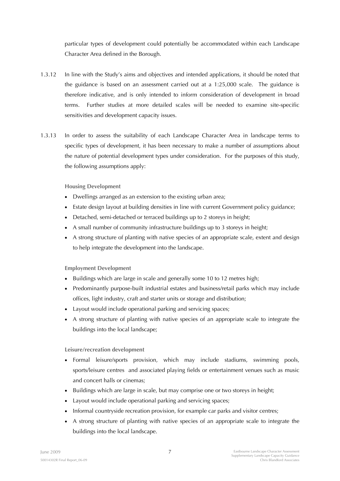particular types of development could potentially be accommodated within each Landscape Character Area defined in the Borough.

- 1.3.12 In line with the Study's aims and objectives and intended applications, it should be noted that the guidance is based on an assessment carried out at a 1:25,000 scale. The guidance is therefore indicative, and is only intended to inform consideration of development in broad terms. Further studies at more detailed scales will be needed to examine site-specific sensitivities and development capacity issues.
- 1.3.13 In order to assess the suitability of each Landscape Character Area in landscape terms to specific types of development, it has been necessary to make a number of assumptions about the nature of potential development types under consideration. For the purposes of this study, the following assumptions apply:

**Housing Development** 

- Dwellings arranged as an extension to the existing urban area;
- Estate design layout at building densities in line with current Government policy guidance;
- Detached, semi-detached or terraced buildings up to 2 storeys in height;
- A small number of community infrastructure buildings up to 3 storeys in height;
- A strong structure of planting with native species of an appropriate scale, extent and design to help integrate the development into the landscape.

**Employment Development** 

- Buildings which are large in scale and generally some 10 to 12 metres high;
- Predominantly purpose-built industrial estates and business/retail parks which may include offices, light industry, craft and starter units or storage and distribution;
- Layout would include operational parking and servicing spaces;
- A strong structure of planting with native species of an appropriate scale to integrate the buildings into the local landscape;

**Leisure/recreation development** 

- Formal leisure/sports provision, which may include stadiums, swimming pools, sports/leisure centres and associated playing fields or entertainment venues such as music and concert halls or cinemas;
- Buildings which are large in scale, but may comprise one or two storeys in height;
- Layout would include operational parking and servicing spaces;
- Informal countryside recreation provision, for example car parks and visitor centres;
- A strong structure of planting with native species of an appropriate scale to integrate the buildings into the local landscape.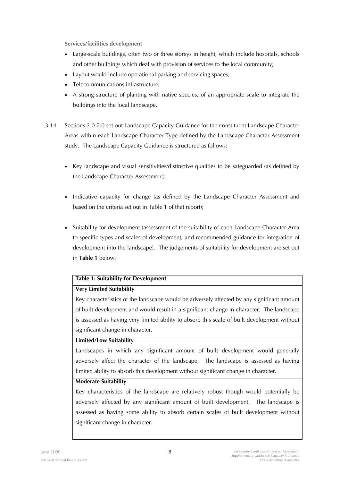**Services/facilities development** 

- Large-scale buildings, often two or three storeys in height, which include hospitals, schools and other buildings which deal with provision of services to the local community;
- Layout would include operational parking and servicing spaces;
- Telecommunications infrastructure;
- A strong structure of planting with native species, of an appropriate scale to integrate the buildings into the local landscape.
- 1.3.14 Sections 2.0-7.0 set out Landscape Capacity Guidance for the constituent Landscape Character Areas within each Landscape Character Type defined by the Landscape Character Assessment study. The Landscape Capacity Guidance is structured as follows:
	- Key landscape and visual sensitivities/distinctive qualities to be safeguarded (as defined by the Landscape Character Assessment);
	- Indicative capacity for change (as defined by the Landscape Character Assessment and based on the criteria set out in Table 1 of that report);
	- Suitability for development (assessment of the suitability of each Landscape Character Area to specific types and scales of development, and recommended guidance for integration of development into the landscape). The judgements of suitability for development are set out in **Table 1** below:

### **Table 1: Suitability for Development**

### **Very Limited Suitability**

Key characteristics of the landscape would be adversely affected by any significant amount of built development and would result in a significant change in character. The landscape is assessed as having very limited ability to absorb this scale of built development without significant change in character.

### **Limited/Low Suitability**

Landscapes in which any significant amount of built development would generally adversely affect the character of the landscape. The landscape is assessed as having limited ability to absorb this development without significant change in character.

### **Moderate Suitability**

Key characteristics of the landscape are relatively robust though would potentially be adversely affected by any significant amount of built development. The landscape is assessed as having some ability to absorb certain scales of built development without significant change in character.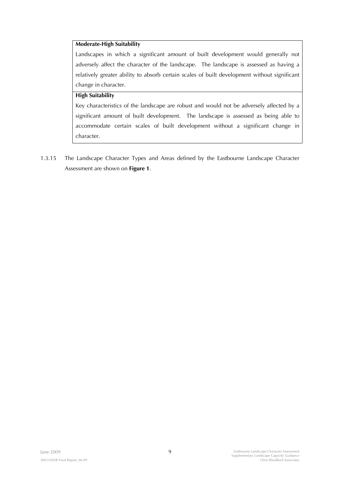### **Moderate-High Suitability**

Landscapes in which a significant amount of built development would generally not adversely affect the character of the landscape. The landscape is assessed as having a relatively greater ability to absorb certain scales of built development without significant change in character.

### **High Suitability**

Key characteristics of the landscape are robust and would not be adversely affected by a significant amount of built development. The landscape is assessed as being able to accommodate certain scales of built development without a significant change in character.

1.3.15 The Landscape Character Types and Areas defined by the Eastbourne Landscape Character Assessment are shown on **Figure 1**.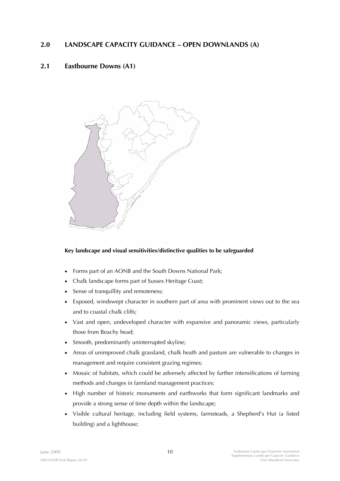# **2.0 LANDSCAPE CAPACITY GUIDANCE – OPEN DOWNLANDS (A)**

# **2.1 Eastbourne Downs (A1)**



### **Key landscape and visual sensitivities/distinctive qualities to be safeguarded**

- Forms part of an AONB and the South Downs National Park;
- Chalk landscape forms part of Sussex Heritage Coast;
- Sense of tranquillity and remoteness;
- Exposed, windswept character in southern part of area with prominent views out to the sea and to coastal chalk cliffs;
- Vast and open, undeveloped character with expansive and panoramic views, particularly those from Beachy head;
- Smooth, predominantly uninterrupted skyline;
- Areas of unimproved chalk grassland, chalk heath and pasture are vulnerable to changes in management and require consistent grazing regimes;
- Mosaic of habitats, which could be adversely affected by further intensifications of farming methods and changes in farmland management practices;
- High number of historic monuments and earthworks that form significant landmarks and provide a strong sense of time depth within the landscape;
- Visible cultural heritage, including field systems, farmsteads, a Shepherd's Hut (a listed building) and a lighthouse;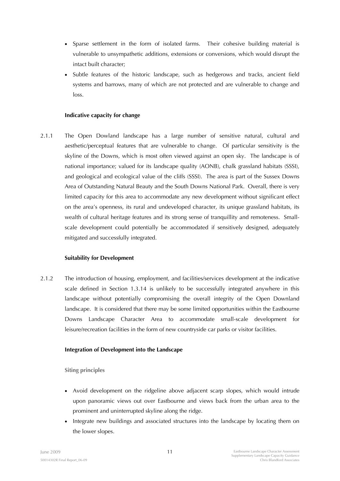- Sparse settlement in the form of isolated farms. Their cohesive building material is vulnerable to unsympathetic additions, extensions or conversions, which would disrupt the intact built character;
- Subtle features of the historic landscape, such as hedgerows and tracks, ancient field systems and barrows, many of which are not protected and are vulnerable to change and loss.

### **Indicative capacity for change**

2.1.1 The Open Dowland landscape has a large number of sensitive natural, cultural and aesthetic/perceptual features that are vulnerable to change. Of particular sensitivity is the skyline of the Downs, which is most often viewed against an open sky. The landscape is of national importance; valued for its landscape quality (AONB), chalk grassland habitats (SSSI), and geological and ecological value of the cliffs (SSSI). The area is part of the Sussex Downs Area of Outstanding Natural Beauty and the South Downs National Park. Overall, there is very limited capacity for this area to accommodate any new development without significant effect on the area's openness, its rural and undeveloped character, its unique grassland habitats, its wealth of cultural heritage features and its strong sense of tranquillity and remoteness. Smallscale development could potentially be accommodated if sensitively designed, adequately mitigated and successfully integrated.

### **Suitability for Development**

2.1.2 The introduction of housing, employment, and facilities/services development at the indicative scale defined in Section 1.3.14 is unlikely to be successfully integrated anywhere in this landscape without potentially compromising the overall integrity of the Open Downland landscape. It is considered that there may be some limited opportunities within the Eastbourne Downs Landscape Character Area to accommodate small-scale development for leisure/recreation facilities in the form of new countryside car parks or visitor facilities.

### **Integration of Development into the Landscape**

**Siting principles** 

- Avoid development on the ridgeline above adjacent scarp slopes, which would intrude upon panoramic views out over Eastbourne and views back from the urban area to the prominent and uninterrupted skyline along the ridge.
- Integrate new buildings and associated structures into the landscape by locating them on the lower slopes.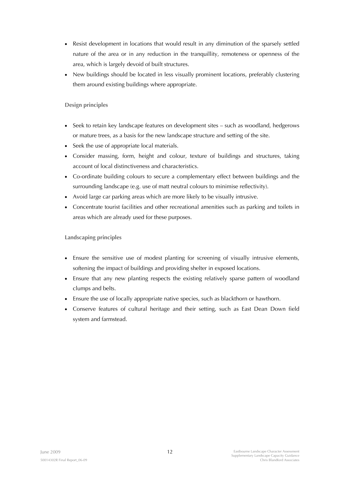- Resist development in locations that would result in any diminution of the sparsely settled nature of the area or in any reduction in the tranquillity, remoteness or openness of the area, which is largely devoid of built structures.
- New buildings should be located in less visually prominent locations, preferably clustering them around existing buildings where appropriate.

### **Design principles**

- Seek to retain key landscape features on development sites such as woodland, hedgerows or mature trees, as a basis for the new landscape structure and setting of the site.
- Seek the use of appropriate local materials.
- Consider massing, form, height and colour, texture of buildings and structures, taking account of local distinctiveness and characteristics.
- Co-ordinate building colours to secure a complementary effect between buildings and the surrounding landscape (e.g. use of matt neutral colours to minimise reflectivity).
- Avoid large car parking areas which are more likely to be visually intrusive.
- Concentrate tourist facilities and other recreational amenities such as parking and toilets in areas which are already used for these purposes.

### **Landscaping principles**

- Ensure the sensitive use of modest planting for screening of visually intrusive elements, softening the impact of buildings and providing shelter in exposed locations.
- Ensure that any new planting respects the existing relatively sparse pattern of woodland clumps and belts.
- Ensure the use of locally appropriate native species, such as blackthorn or hawthorn.
- Conserve features of cultural heritage and their setting, such as East Dean Down field system and farmstead.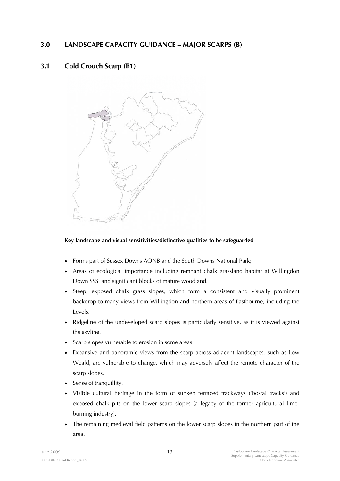# **3.0 LANDSCAPE CAPACITY GUIDANCE – MAJOR SCARPS (B)**

# **3.1 Cold Crouch Scarp (B1)**



### **Key landscape and visual sensitivities/distinctive qualities to be safeguarded**

- Forms part of Sussex Downs AONB and the South Downs National Park;
- Areas of ecological importance including remnant chalk grassland habitat at Willingdon Down SSSI and significant blocks of mature woodland.
- Steep, exposed chalk grass slopes, which form a consistent and visually prominent backdrop to many views from Willingdon and northern areas of Eastbourne, including the Levels.
- Ridgeline of the undeveloped scarp slopes is particularly sensitive, as it is viewed against the skyline.
- Scarp slopes vulnerable to erosion in some areas.
- Expansive and panoramic views from the scarp across adjacent landscapes, such as Low Weald, are vulnerable to change, which may adversely affect the remote character of the scarp slopes.
- Sense of tranquillity.
- Visible cultural heritage in the form of sunken terraced trackways ('bostal tracks') and exposed chalk pits on the lower scarp slopes (a legacy of the former agricultural limeburning industry).
- The remaining medieval field patterns on the lower scarp slopes in the northern part of the area.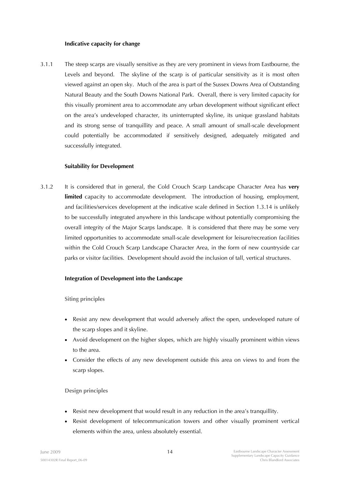#### **Indicative capacity for change**

3.1.1 The steep scarps are visually sensitive as they are very prominent in views from Eastbourne, the Levels and beyond. The skyline of the scarp is of particular sensitivity as it is most often viewed against an open sky. Much of the area is part of the Sussex Downs Area of Outstanding Natural Beauty and the South Downs National Park. Overall, there is very limited capacity for this visually prominent area to accommodate any urban development without significant effect on the area's undeveloped character, its uninterrupted skyline, its unique grassland habitats and its strong sense of tranquillity and peace. A small amount of small-scale development could potentially be accommodated if sensitively designed, adequately mitigated and successfully integrated.

### **Suitability for Development**

3.1.2 It is considered that in general, the Cold Crouch Scarp Landscape Character Area has **very limited** capacity to accommodate development. The introduction of housing, employment, and facilities/services development at the indicative scale defined in Section 1.3.14 is unlikely to be successfully integrated anywhere in this landscape without potentially compromising the overall integrity of the Major Scarps landscape. It is considered that there may be some very limited opportunities to accommodate small-scale development for leisure/recreation facilities within the Cold Crouch Scarp Landscape Character Area, in the form of new countryside car parks or visitor facilities. Development should avoid the inclusion of tall, vertical structures.

### **Integration of Development into the Landscape**

**Siting principles** 

- Resist any new development that would adversely affect the open, undeveloped nature of the scarp slopes and it skyline.
- Avoid development on the higher slopes, which are highly visually prominent within views to the area.
- Consider the effects of any new development outside this area on views to and from the scarp slopes.

### **Design principles**

- Resist new development that would result in any reduction in the area's tranquillity.
- Resist development of telecommunication towers and other visually prominent vertical elements within the area, unless absolutely essential.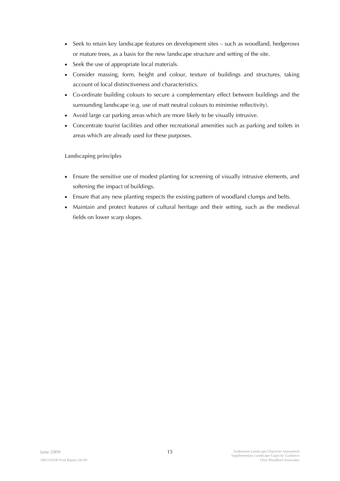- Seek to retain key landscape features on development sites such as woodland, hedgerows or mature trees, as a basis for the new landscape structure and setting of the site.
- Seek the use of appropriate local materials.
- Consider massing, form, height and colour, texture of buildings and structures, taking account of local distinctiveness and characteristics.
- Co-ordinate building colours to secure a complementary effect between buildings and the surrounding landscape (e.g. use of matt neutral colours to minimise reflectivity).
- Avoid large car parking areas which are more likely to be visually intrusive.
- Concentrate tourist facilities and other recreational amenities such as parking and toilets in areas which are already used for these purposes.

**Landscaping principles** 

- Ensure the sensitive use of modest planting for screening of visually intrusive elements, and softening the impact of buildings.
- Ensure that any new planting respects the existing pattern of woodland clumps and belts.
- Maintain and protect features of cultural heritage and their setting, such as the medieval fields on lower scarp slopes.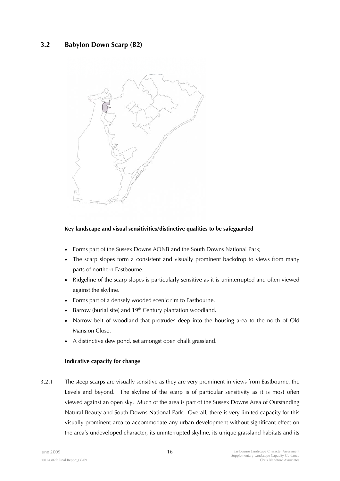# **3.2 Babylon Down Scarp (B2)**



### **Key landscape and visual sensitivities/distinctive qualities to be safeguarded**

- Forms part of the Sussex Downs AONB and the South Downs National Park;
- The scarp slopes form a consistent and visually prominent backdrop to views from many parts of northern Eastbourne.
- Ridgeline of the scarp slopes is particularly sensitive as it is uninterrupted and often viewed against the skyline.
- Forms part of a densely wooded scenic rim to Eastbourne.
- Barrow (burial site) and 19<sup>th</sup> Century plantation woodland.
- Narrow belt of woodland that protrudes deep into the housing area to the north of Old Mansion Close.
- A distinctive dew pond, set amongst open chalk grassland.

#### **Indicative capacity for change**

3.2.1 The steep scarps are visually sensitive as they are very prominent in views from Eastbourne, the Levels and beyond. The skyline of the scarp is of particular sensitivity as it is most often viewed against an open sky. Much of the area is part of the Sussex Downs Area of Outstanding Natural Beauty and South Downs National Park. Overall, there is very limited capacity for this visually prominent area to accommodate any urban development without significant effect on the area's undeveloped character, its uninterrupted skyline, its unique grassland habitats and its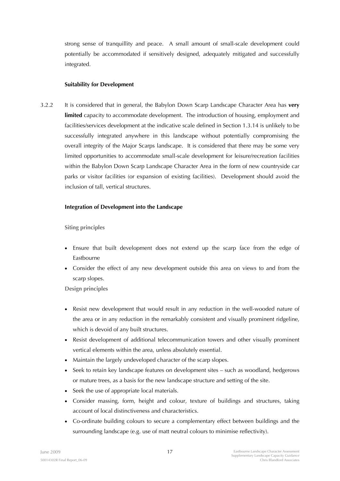strong sense of tranquillity and peace. A small amount of small-scale development could potentially be accommodated if sensitively designed, adequately mitigated and successfully integrated.

#### **Suitability for Development**

3.2.2 It is considered that in general, the Babylon Down Scarp Landscape Character Area has **very limited** capacity to accommodate development. The introduction of housing, employment and facilities/services development at the indicative scale defined in Section 1.3.14 is unlikely to be successfully integrated anywhere in this landscape without potentially compromising the overall integrity of the Major Scarps landscape. It is considered that there may be some very limited opportunities to accommodate small-scale development for leisure/recreation facilities within the Babylon Down Scarp Landscape Character Area in the form of new countryside car parks or visitor facilities (or expansion of existing facilities). Development should avoid the inclusion of tall, vertical structures.

#### **Integration of Development into the Landscape**

**Siting principles** 

- Ensure that built development does not extend up the scarp face from the edge of Eastbourne
- Consider the effect of any new development outside this area on views to and from the scarp slopes.

**Design principles** 

- Resist new development that would result in any reduction in the well-wooded nature of the area or in any reduction in the remarkably consistent and visually prominent ridgeline, which is devoid of any built structures.
- Resist development of additional telecommunication towers and other visually prominent vertical elements within the area, unless absolutely essential.
- Maintain the largely undeveloped character of the scarp slopes.
- Seek to retain key landscape features on development sites such as woodland, hedgerows or mature trees, as a basis for the new landscape structure and setting of the site.
- Seek the use of appropriate local materials.
- Consider massing, form, height and colour, texture of buildings and structures, taking account of local distinctiveness and characteristics.
- Co-ordinate building colours to secure a complementary effect between buildings and the surrounding landscape (e.g. use of matt neutral colours to minimise reflectivity).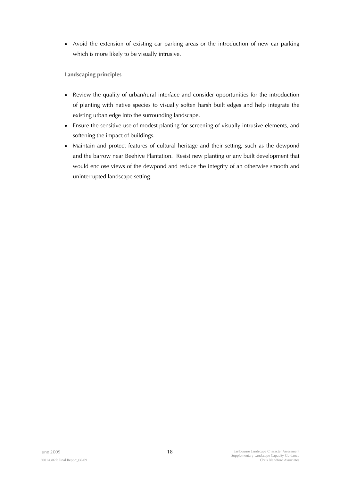• Avoid the extension of existing car parking areas or the introduction of new car parking which is more likely to be visually intrusive.

**Landscaping principles** 

- Review the quality of urban/rural interface and consider opportunities for the introduction of planting with native species to visually soften harsh built edges and help integrate the existing urban edge into the surrounding landscape.
- Ensure the sensitive use of modest planting for screening of visually intrusive elements, and softening the impact of buildings.
- Maintain and protect features of cultural heritage and their setting, such as the dewpond and the barrow near Beehive Plantation. Resist new planting or any built development that would enclose views of the dewpond and reduce the integrity of an otherwise smooth and uninterrupted landscape setting.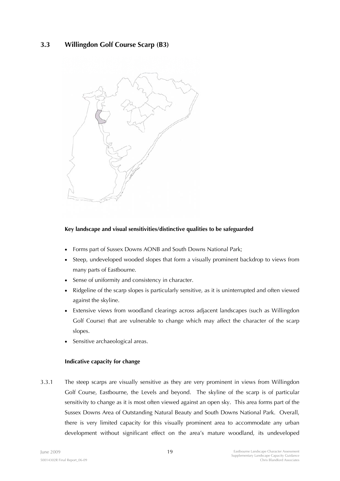# **3.3 Willingdon Golf Course Scarp (B3)**



### **Key landscape and visual sensitivities/distinctive qualities to be safeguarded**

- Forms part of Sussex Downs AONB and South Downs National Park;
- Steep, undeveloped wooded slopes that form a visually prominent backdrop to views from many parts of Eastbourne.
- Sense of uniformity and consistency in character.
- Ridgeline of the scarp slopes is particularly sensitive, as it is uninterrupted and often viewed against the skyline.
- Extensive views from woodland clearings across adjacent landscapes (such as Willingdon Golf Course) that are vulnerable to change which may affect the character of the scarp slopes.
- Sensitive archaeological areas.

### **Indicative capacity for change**

3.3.1 The steep scarps are visually sensitive as they are very prominent in views from Willingdon Golf Course, Eastbourne, the Levels and beyond. The skyline of the scarp is of particular sensitivity to change as it is most often viewed against an open sky. This area forms part of the Sussex Downs Area of Outstanding Natural Beauty and South Downs National Park. Overall, there is very limited capacity for this visually prominent area to accommodate any urban development without significant effect on the area's mature woodland, its undeveloped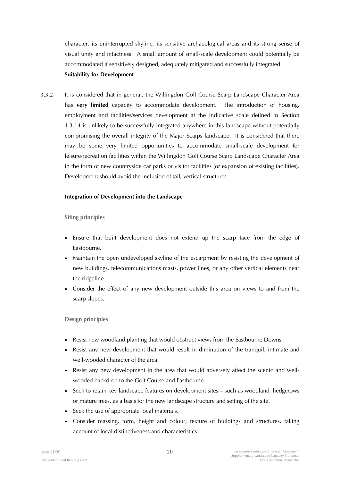character, its uninterrupted skyline, its sensitive archaeological areas and its strong sense of visual unity and intactness. A small amount of small-scale development could potentially be accommodated if sensitively designed, adequately mitigated and successfully integrated.

### **Suitability for Development**

3.3.2 It is considered that in general, the Willingdon Golf Course Scarp Landscape Character Area has **very limited** capacity to accommodate development. The introduction of housing, employment and facilities/services development at the indicative scale defined in Section 1.3.14 is unlikely to be successfully integrated anywhere in this landscape without potentially compromising the overall integrity of the Major Scarps landscape. It is considered that there may be some very limited opportunities to accommodate small-scale development for leisure/recreation facilities within the Willingdon Golf Course Scarp Landscape Character Area in the form of new countryside car parks or visitor facilities (or expansion of existing facilities). Development should avoid the inclusion of tall, vertical structures.

### **Integration of Development into the Landscape**

**Siting principles** 

- Ensure that built development does not extend up the scarp face from the edge of Eastbourne.
- Maintain the open undeveloped skyline of the escarpment by resisting the development of new buildings, telecommunications masts, power lines, or any other vertical elements near the ridgeline.
- Consider the effect of any new development outside this area on views to and from the scarp slopes.

**Design principles** 

- Resist new woodland planting that would obstruct views from the Eastbourne Downs.
- Resist any new development that would result in diminution of the tranquil, intimate and well-wooded character of the area.
- Resist any new development in the area that would adversely affect the scenic and wellwooded backdrop to the Golf Course and Eastbourne.
- Seek to retain key landscape features on development sites such as woodland, hedgerows or mature trees, as a basis for the new landscape structure and setting of the site.
- Seek the use of appropriate local materials.
- Consider massing, form, height and colour, texture of buildings and structures, taking account of local distinctiveness and characteristics.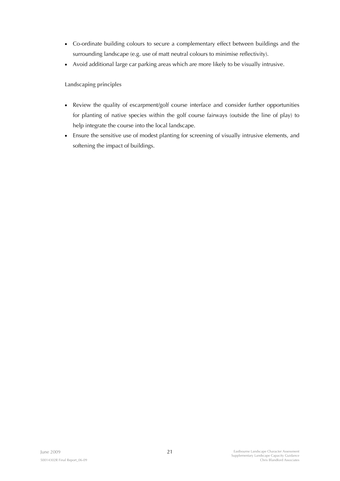- Co-ordinate building colours to secure a complementary effect between buildings and the surrounding landscape (e.g. use of matt neutral colours to minimise reflectivity).
- Avoid additional large car parking areas which are more likely to be visually intrusive.

**Landscaping principles** 

- Review the quality of escarpment/golf course interface and consider further opportunities for planting of native species within the golf course fairways (outside the line of play) to help integrate the course into the local landscape.
- Ensure the sensitive use of modest planting for screening of visually intrusive elements, and softening the impact of buildings.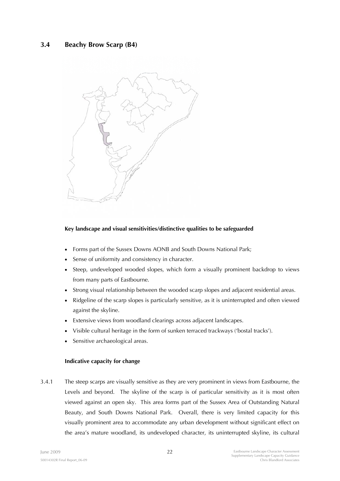## **3.4 Beachy Brow Scarp (B4)**



### **Key landscape and visual sensitivities/distinctive qualities to be safeguarded**

- Forms part of the Sussex Downs AONB and South Downs National Park;
- Sense of uniformity and consistency in character.
- Steep, undeveloped wooded slopes, which form a visually prominent backdrop to views from many parts of Eastbourne.
- Strong visual relationship between the wooded scarp slopes and adjacent residential areas.
- Ridgeline of the scarp slopes is particularly sensitive, as it is uninterrupted and often viewed against the skyline.
- Extensive views from woodland clearings across adjacent landscapes.
- Visible cultural heritage in the form of sunken terraced trackways ('bostal tracks').
- Sensitive archaeological areas.

### **Indicative capacity for change**

3.4.1 The steep scarps are visually sensitive as they are very prominent in views from Eastbourne, the Levels and beyond. The skyline of the scarp is of particular sensitivity as it is most often viewed against an open sky. This area forms part of the Sussex Area of Outstanding Natural Beauty, and South Downs National Park. Overall, there is very limited capacity for this visually prominent area to accommodate any urban development without significant effect on the area's mature woodland, its undeveloped character, its uninterrupted skyline, its cultural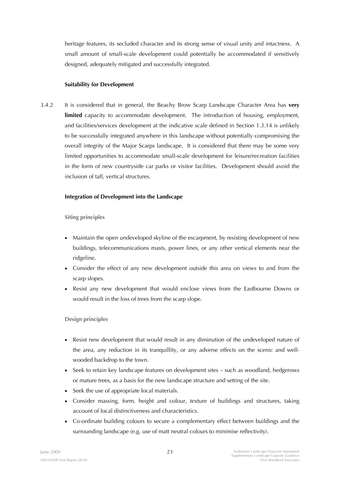heritage features, its secluded character and its strong sense of visual unity and intactness. A small amount of small-scale development could potentially be accommodated if sensitively designed, adequately mitigated and successfully integrated.

### **Suitability for Development**

3.4.2 It is considered that in general, the Beachy Brow Scarp Landscape Character Area has **very**  limited capacity to accommodate development. The introduction of housing, employment, and facilities/services development at the indicative scale defined in Section 1.3.14 is unlikely to be successfully integrated anywhere in this landscape without potentially compromising the overall integrity of the Major Scarps landscape. It is considered that there may be some very limited opportunities to accommodate small-scale development for leisure/recreation facilities in the form of new countryside car parks or visitor facilities. Development should avoid the inclusion of tall, vertical structures.

### **Integration of Development into the Landscape**

**Siting principles** 

- Maintain the open undeveloped skyline of the escarpment, by resisting development of new buildings, telecommunications masts, power lines, or any other vertical elements near the ridgeline.
- Consider the effect of any new development outside this area on views to and from the scarp slopes.
- Resist any new development that would enclose views from the Eastbourne Downs or would result in the loss of trees from the scarp slope.

**Design principles** 

- Resist new development that would result in any diminution of the undeveloped nature of the area, any reduction in its tranquillity, or any adverse effects on the scenic and wellwooded backdrop to the town.
- Seek to retain key landscape features on development sites such as woodland, hedgerows or mature trees, as a basis for the new landscape structure and setting of the site.
- Seek the use of appropriate local materials.
- Consider massing, form, height and colour, texture of buildings and structures, taking account of local distinctiveness and characteristics.
- Co-ordinate building colours to secure a complementary effect between buildings and the surrounding landscape (e.g. use of matt neutral colours to minimise reflectivity).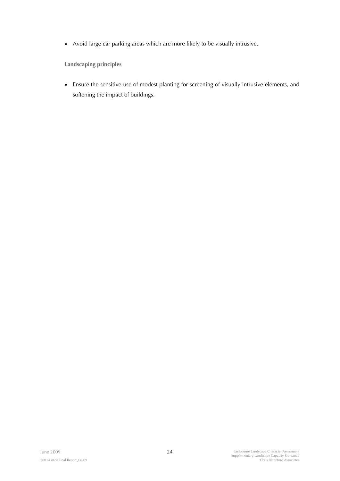• Avoid large car parking areas which are more likely to be visually intrusive.

**Landscaping principles** 

• Ensure the sensitive use of modest planting for screening of visually intrusive elements, and softening the impact of buildings.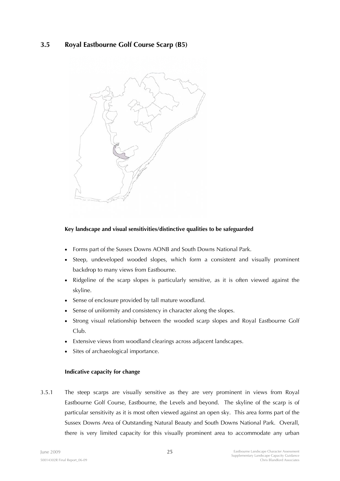# **3.5 Royal Eastbourne Golf Course Scarp (B5)**



### **Key landscape and visual sensitivities/distinctive qualities to be safeguarded**

- Forms part of the Sussex Downs AONB and South Downs National Park.
- Steep, undeveloped wooded slopes, which form a consistent and visually prominent backdrop to many views from Eastbourne.
- Ridgeline of the scarp slopes is particularly sensitive, as it is often viewed against the skyline.
- Sense of enclosure provided by tall mature woodland.
- Sense of uniformity and consistency in character along the slopes.
- Strong visual relationship between the wooded scarp slopes and Royal Eastbourne Golf Club.
- Extensive views from woodland clearings across adjacent landscapes.
- Sites of archaeological importance.

#### **Indicative capacity for change**

3.5.1 The steep scarps are visually sensitive as they are very prominent in views from Royal Eastbourne Golf Course, Eastbourne, the Levels and beyond. The skyline of the scarp is of particular sensitivity as it is most often viewed against an open sky. This area forms part of the Sussex Downs Area of Outstanding Natural Beauty and South Downs National Park. Overall, there is very limited capacity for this visually prominent area to accommodate any urban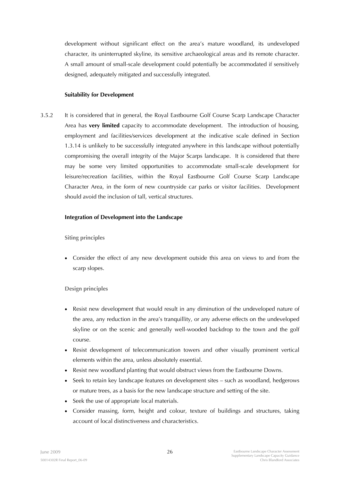development without significant effect on the area's mature woodland, its undeveloped character, its uninterrupted skyline, its sensitive archaeological areas and its remote character. A small amount of small-scale development could potentially be accommodated if sensitively designed, adequately mitigated and successfully integrated.

#### **Suitability for Development**

3.5.2 It is considered that in general, the Royal Eastbourne Golf Course Scarp Landscape Character Area has **very limited** capacity to accommodate development. The introduction of housing, employment and facilities/services development at the indicative scale defined in Section 1.3.14 is unlikely to be successfully integrated anywhere in this landscape without potentially compromising the overall integrity of the Major Scarps landscape. It is considered that there may be some very limited opportunities to accommodate small-scale development for leisure/recreation facilities, within the Royal Eastbourne Golf Course Scarp Landscape Character Area, in the form of new countryside car parks or visitor facilities. Development should avoid the inclusion of tall, vertical structures.

#### **Integration of Development into the Landscape**

**Siting principles** 

• Consider the effect of any new development outside this area on views to and from the scarp slopes.

### **Design principles**

- Resist new development that would result in any diminution of the undeveloped nature of the area, any reduction in the area's tranquillity, or any adverse effects on the undeveloped skyline or on the scenic and generally well-wooded backdrop to the town and the golf course.
- Resist development of telecommunication towers and other visually prominent vertical elements within the area, unless absolutely essential.
- Resist new woodland planting that would obstruct views from the Eastbourne Downs.
- Seek to retain key landscape features on development sites such as woodland, hedgerows or mature trees, as a basis for the new landscape structure and setting of the site.
- Seek the use of appropriate local materials.
- Consider massing, form, height and colour, texture of buildings and structures, taking account of local distinctiveness and characteristics.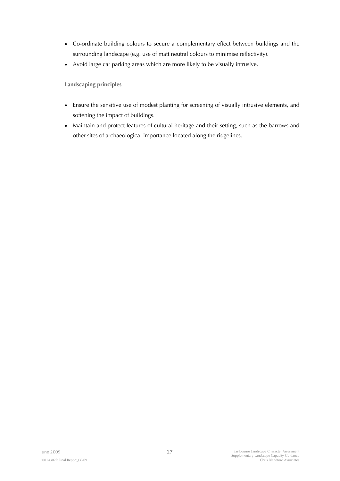- Co-ordinate building colours to secure a complementary effect between buildings and the surrounding landscape (e.g. use of matt neutral colours to minimise reflectivity).
- Avoid large car parking areas which are more likely to be visually intrusive.

**Landscaping principles** 

- Ensure the sensitive use of modest planting for screening of visually intrusive elements, and softening the impact of buildings.
- Maintain and protect features of cultural heritage and their setting, such as the barrows and other sites of archaeological importance located along the ridgelines.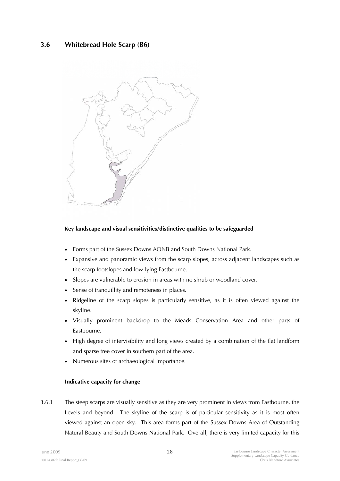# **3.6 Whitebread Hole Scarp (B6)**



### **Key landscape and visual sensitivities/distinctive qualities to be safeguarded**

- Forms part of the Sussex Downs AONB and South Downs National Park.
- Expansive and panoramic views from the scarp slopes, across adjacent landscapes such as the scarp footslopes and low-lying Eastbourne.
- Slopes are vulnerable to erosion in areas with no shrub or woodland cover.
- Sense of tranquillity and remoteness in places.
- Ridgeline of the scarp slopes is particularly sensitive, as it is often viewed against the skyline.
- Visually prominent backdrop to the Meads Conservation Area and other parts of Eastbourne.
- High degree of intervisibility and long views created by a combination of the flat landform and sparse tree cover in southern part of the area.
- Numerous sites of archaeological importance.

### **Indicative capacity for change**

3.6.1 The steep scarps are visually sensitive as they are very prominent in views from Eastbourne, the Levels and beyond. The skyline of the scarp is of particular sensitivity as it is most often viewed against an open sky. This area forms part of the Sussex Downs Area of Outstanding Natural Beauty and South Downs National Park. Overall, there is very limited capacity for this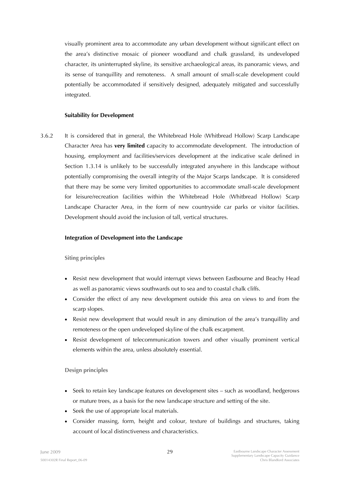visually prominent area to accommodate any urban development without significant effect on the area's distinctive mosaic of pioneer woodland and chalk grassland, its undeveloped character, its uninterrupted skyline, its sensitive archaeological areas, its panoramic views, and its sense of tranquillity and remoteness. A small amount of small-scale development could potentially be accommodated if sensitively designed, adequately mitigated and successfully integrated.

#### **Suitability for Development**

3.6.2 It is considered that in general, the Whitebread Hole (Whitbread Hollow) Scarp Landscape Character Area has **very limited** capacity to accommodate development. The introduction of housing, employment and facilities/services development at the indicative scale defined in Section 1.3.14 is unlikely to be successfully integrated anywhere in this landscape without potentially compromising the overall integrity of the Major Scarps landscape. It is considered that there may be some very limited opportunities to accommodate small-scale development for leisure/recreation facilities within the Whitebread Hole (Whitbread Hollow) Scarp Landscape Character Area, in the form of new countryside car parks or visitor facilities. Development should avoid the inclusion of tall, vertical structures.

#### **Integration of Development into the Landscape**

**Siting principles** 

- Resist new development that would interrupt views between Eastbourne and Beachy Head as well as panoramic views southwards out to sea and to coastal chalk cliffs.
- Consider the effect of any new development outside this area on views to and from the scarp slopes.
- Resist new development that would result in any diminution of the area's tranquillity and remoteness or the open undeveloped skyline of the chalk escarpment.
- Resist development of telecommunication towers and other visually prominent vertical elements within the area, unless absolutely essential.

### **Design principles**

- Seek to retain key landscape features on development sites such as woodland, hedgerows or mature trees, as a basis for the new landscape structure and setting of the site.
- Seek the use of appropriate local materials.
- Consider massing, form, height and colour, texture of buildings and structures, taking account of local distinctiveness and characteristics.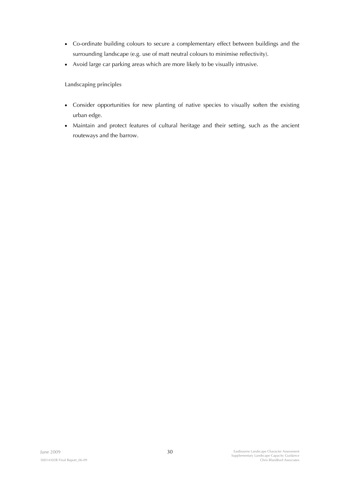- Co-ordinate building colours to secure a complementary effect between buildings and the surrounding landscape (e.g. use of matt neutral colours to minimise reflectivity).
- Avoid large car parking areas which are more likely to be visually intrusive.

**Landscaping principles** 

- Consider opportunities for new planting of native species to visually soften the existing urban edge.
- Maintain and protect features of cultural heritage and their setting, such as the ancient routeways and the barrow.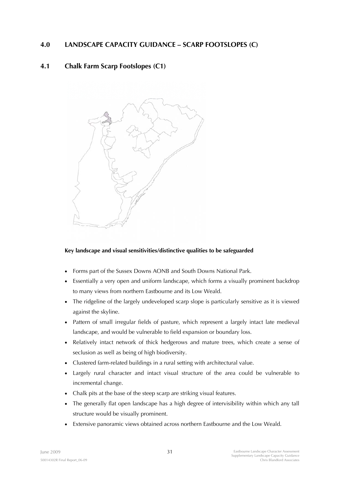# **4.0 LANDSCAPE CAPACITY GUIDANCE – SCARP FOOTSLOPES (C)**

# **4.1 Chalk Farm Scarp Footslopes (C1)**



### **Key landscape and visual sensitivities/distinctive qualities to be safeguarded**

- Forms part of the Sussex Downs AONB and South Downs National Park.
- Essentially a very open and uniform landscape, which forms a visually prominent backdrop to many views from northern Eastbourne and its Low Weald.
- The ridgeline of the largely undeveloped scarp slope is particularly sensitive as it is viewed against the skyline.
- Pattern of small irregular fields of pasture, which represent a largely intact late medieval landscape, and would be vulnerable to field expansion or boundary loss.
- Relatively intact network of thick hedgerows and mature trees, which create a sense of seclusion as well as being of high biodiversity.
- Clustered farm-related buildings in a rural setting with architectural value.
- Largely rural character and intact visual structure of the area could be vulnerable to incremental change.
- Chalk pits at the base of the steep scarp are striking visual features.
- The generally flat open landscape has a high degree of intervisibility within which any tall structure would be visually prominent.
- Extensive panoramic views obtained across northern Eastbourne and the Low Weald.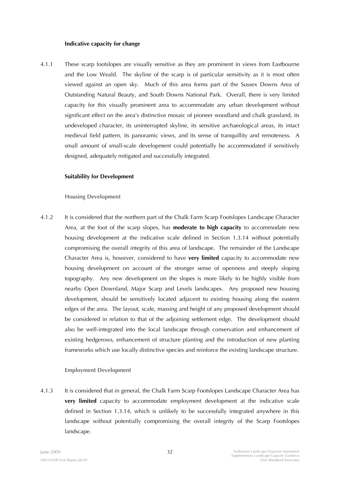#### **Indicative capacity for change**

4.1.1 These scarp footslopes are visually sensitive as they are prominent in views from Eastbourne and the Low Weald. The skyline of the scarp is of particular sensitivity as it is most often viewed against an open sky. Much of this area forms part of the Sussex Downs Area of Outstanding Natural Beauty, and South Downs National Park. Overall, there is very limited capacity for this visually prominent area to accommodate any urban development without significant effect on the area's distinctive mosaic of pioneer woodland and chalk grassland, its undeveloped character, its uninterrupted skyline, its sensitive archaeological areas, its intact medieval field pattern, its panoramic views, and its sense of tranquillity and remoteness. A small amount of small-scale development could potentially be accommodated if sensitively designed, adequately mitigated and successfully integrated.

#### **Suitability for Development**

#### **Housing Development**

4.1.2 It is considered that the northern part of the Chalk Farm Scarp Footslopes Landscape Character Area, at the foot of the scarp slopes, has **moderate to high capacity** to accommodate new housing development at the indicative scale defined in Section 1.3.14 without potentially compromising the overall integrity of this area of landscape. The remainder of the Landscape Character Area is, however, considered to have **very limited** capacity to accommodate new housing development on account of the stronger sense of openness and steeply sloping topography. Any new development on the slopes is more likely to be highly visible from nearby Open Downland, Major Scarp and Levels landscapes. Any proposed new housing development, should be sensitively located adjacent to existing housing along the eastern edges of the area. The layout, scale, massing and height of any proposed development should be considered in relation to that of the adjoining settlement edge. The development should also be well-integrated into the local landscape through conservation and enhancement of existing hedgerows, enhancement of structure planting and the introduction of new planting frameworks which use locally distinctive species and reinforce the existing landscape structure.

#### **Employment Development**

4.1.3 It is considered that in general, the Chalk Farm Scarp Footslopes Landscape Character Area has **very limited** capacity to accommodate employment development at the indicative scale defined in Section 1.3.14, which is unlikely to be successfully integrated anywhere in this landscape without potentially compromising the overall integrity of the Scarp Footslopes landscape.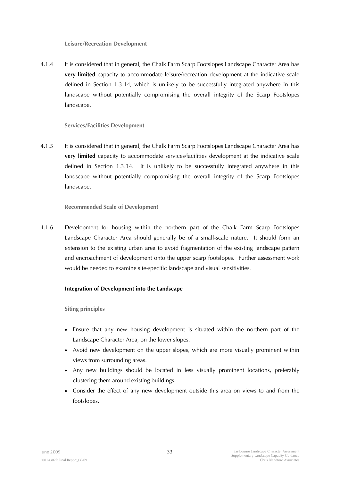**Leisure/Recreation Development** 

4.1.4 It is considered that in general, the Chalk Farm Scarp Footslopes Landscape Character Area has **very limited** capacity to accommodate leisure/recreation development at the indicative scale defined in Section 1.3.14, which is unlikely to be successfully integrated anywhere in this landscape without potentially compromising the overall integrity of the Scarp Footslopes landscape.

### **Services/Facilities Development**

4.1.5 It is considered that in general, the Chalk Farm Scarp Footslopes Landscape Character Area has **very limited** capacity to accommodate services/facilities development at the indicative scale defined in Section 1.3.14. It is unlikely to be successfully integrated anywhere in this landscape without potentially compromising the overall integrity of the Scarp Footslopes landscape.

### **Recommended Scale of Development**

4.1.6 Development for housing within the northern part of the Chalk Farm Scarp Footslopes Landscape Character Area should generally be of a small-scale nature. It should form an extension to the existing urban area to avoid fragmentation of the existing landscape pattern and encroachment of development onto the upper scarp footslopes. Further assessment work would be needed to examine site-specific landscape and visual sensitivities.

### **Integration of Development into the Landscape**

**Siting principles** 

- Ensure that any new housing development is situated within the northern part of the Landscape Character Area, on the lower slopes.
- Avoid new development on the upper slopes, which are more visually prominent within views from surrounding areas.
- Any new buildings should be located in less visually prominent locations, preferably clustering them around existing buildings.
- Consider the effect of any new development outside this area on views to and from the footslopes.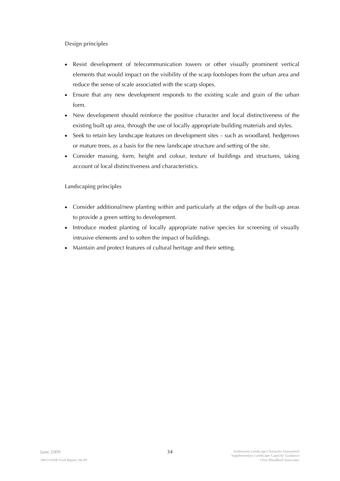**Design principles** 

- Resist development of telecommunication towers or other visually prominent vertical elements that would impact on the visibility of the scarp footslopes from the urban area and reduce the sense of scale associated with the scarp slopes.
- Ensure that any new development responds to the existing scale and grain of the urban form.
- New development should reinforce the positive character and local distinctiveness of the existing built up area, through the use of locally appropriate building materials and styles.
- Seek to retain key landscape features on development sites such as woodland, hedgerows or mature trees, as a basis for the new landscape structure and setting of the site.
- Consider massing, form, height and colour, texture of buildings and structures, taking account of local distinctiveness and characteristics.

**Landscaping principles** 

- Consider additional/new planting within and particularly at the edges of the built-up areas to provide a green setting to development.
- Introduce modest planting of locally appropriate native species for screening of visually intrusive elements and to soften the impact of buildings.
- Maintain and protect features of cultural heritage and their setting.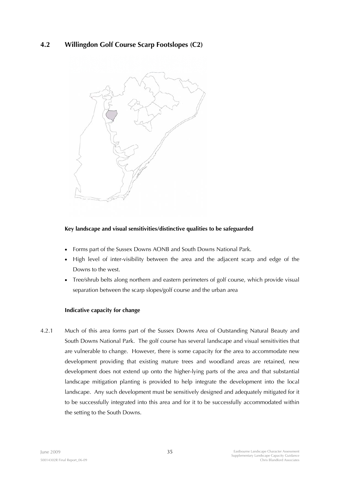# **4.2 Willingdon Golf Course Scarp Footslopes (C2)**



## **Key landscape and visual sensitivities/distinctive qualities to be safeguarded**

- Forms part of the Sussex Downs AONB and South Downs National Park.
- High level of inter-visibility between the area and the adjacent scarp and edge of the Downs to the west.
- Tree/shrub belts along northern and eastern perimeters of golf course, which provide visual separation between the scarp slopes/golf course and the urban area

### **Indicative capacity for change**

4.2.1 Much of this area forms part of the Sussex Downs Area of Outstanding Natural Beauty and South Downs National Park. The golf course has several landscape and visual sensitivities that are vulnerable to change. However, there is some capacity for the area to accommodate new development providing that existing mature trees and woodland areas are retained, new development does not extend up onto the higher-lying parts of the area and that substantial landscape mitigation planting is provided to help integrate the development into the local landscape. Any such development must be sensitively designed and adequately mitigated for it to be successfully integrated into this area and for it to be successfully accommodated within the setting to the South Downs.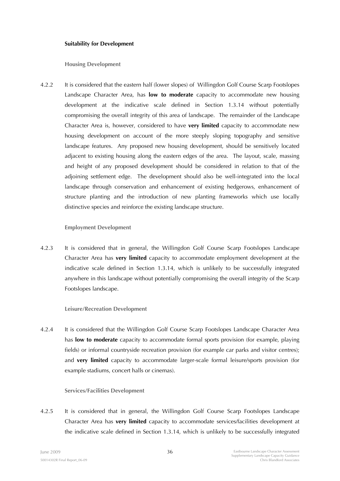### **Suitability for Development**

**Housing Development** 

4.2.2 It is considered that the eastern half (lower slopes) of Willingdon Golf Course Scarp Footslopes Landscape Character Area, has **low to moderate** capacity to accommodate new housing development at the indicative scale defined in Section 1.3.14 without potentially compromising the overall integrity of this area of landscape. The remainder of the Landscape Character Area is, however, considered to have **very limited** capacity to accommodate new housing development on account of the more steeply sloping topography and sensitive landscape features. Any proposed new housing development, should be sensitively located adjacent to existing housing along the eastern edges of the area. The layout, scale, massing and height of any proposed development should be considered in relation to that of the adjoining settlement edge. The development should also be well-integrated into the local landscape through conservation and enhancement of existing hedgerows, enhancement of structure planting and the introduction of new planting frameworks which use locally distinctive species and reinforce the existing landscape structure.

## **Employment Development**

4.2.3 It is considered that in general, the Willingdon Golf Course Scarp Footslopes Landscape Character Area has **very limited** capacity to accommodate employment development at the indicative scale defined in Section 1.3.14, which is unlikely to be successfully integrated anywhere in this landscape without potentially compromising the overall integrity of the Scarp Footslopes landscape.

## **Leisure/Recreation Development**

4.2.4 It is considered that the Willingdon Golf Course Scarp Footslopes Landscape Character Area has **low to moderate** capacity to accommodate formal sports provision (for example, playing fields) or informal countryside recreation provision (for example car parks and visitor centres); and **very limited** capacity to accommodate larger-scale formal leisure/sports provision (for example stadiums, concert halls or cinemas).

## **Services/Facilities Development**

4.2.5 It is considered that in general, the Willingdon Golf Course Scarp Footslopes Landscape Character Area has **very limited** capacity to accommodate services/facilities development at the indicative scale defined in Section 1.3.14, which is unlikely to be successfully integrated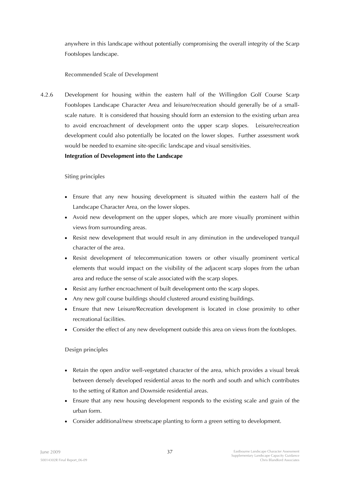anywhere in this landscape without potentially compromising the overall integrity of the Scarp Footslopes landscape.

# **Recommended Scale of Development**

4.2.6 Development for housing within the eastern half of the Willingdon Golf Course Scarp Footslopes Landscape Character Area and leisure/recreation should generally be of a smallscale nature. It is considered that housing should form an extension to the existing urban area to avoid encroachment of development onto the upper scarp slopes. Leisure/recreation development could also potentially be located on the lower slopes. Further assessment work would be needed to examine site-specific landscape and visual sensitivities.

## **Integration of Development into the Landscape**

## **Siting principles**

- Ensure that any new housing development is situated within the eastern half of the Landscape Character Area, on the lower slopes.
- Avoid new development on the upper slopes, which are more visually prominent within views from surrounding areas.
- Resist new development that would result in any diminution in the undeveloped tranquil character of the area.
- Resist development of telecommunication towers or other visually prominent vertical elements that would impact on the visibility of the adjacent scarp slopes from the urban area and reduce the sense of scale associated with the scarp slopes.
- Resist any further encroachment of built development onto the scarp slopes.
- Any new golf course buildings should clustered around existing buildings.
- Ensure that new Leisure/Recreation development is located in close proximity to other recreational facilities.
- Consider the effect of any new development outside this area on views from the footslopes.

# **Design principles**

- Retain the open and/or well-vegetated character of the area, which provides a visual break between densely developed residential areas to the north and south and which contributes to the setting of Ratton and Downside residential areas.
- Ensure that any new housing development responds to the existing scale and grain of the urban form.
- Consider additional/new streetscape planting to form a green setting to development.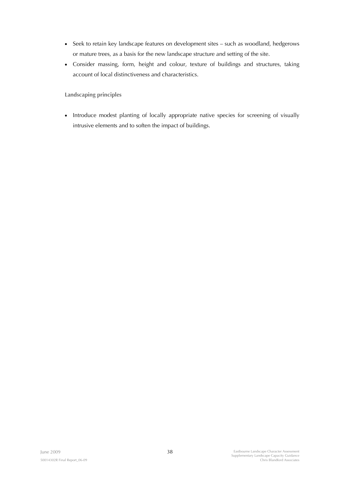- Seek to retain key landscape features on development sites such as woodland, hedgerows or mature trees, as a basis for the new landscape structure and setting of the site.
- Consider massing, form, height and colour, texture of buildings and structures, taking account of local distinctiveness and characteristics.

**Landscaping principles** 

• Introduce modest planting of locally appropriate native species for screening of visually intrusive elements and to soften the impact of buildings.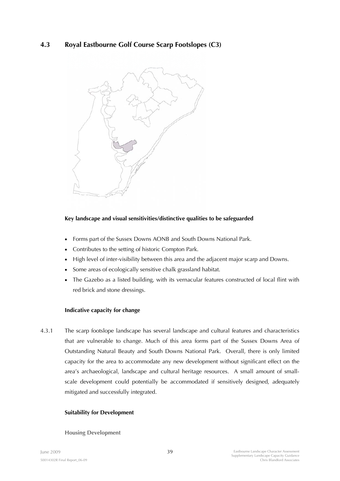# **4.3 Royal Eastbourne Golf Course Scarp Footslopes (C3)**



# **Key landscape and visual sensitivities/distinctive qualities to be safeguarded**

- Forms part of the Sussex Downs AONB and South Downs National Park.
- Contributes to the setting of historic Compton Park.
- High level of inter-visibility between this area and the adjacent major scarp and Downs.
- Some areas of ecologically sensitive chalk grassland habitat.
- The Gazebo as a listed building, with its vernacular features constructed of local flint with red brick and stone dressings.

## **Indicative capacity for change**

4.3.1 The scarp footslope landscape has several landscape and cultural features and characteristics that are vulnerable to change. Much of this area forms part of the Sussex Downs Area of Outstanding Natural Beauty and South Downs National Park. Overall, there is only limited capacity for the area to accommodate any new development without significant effect on the area's archaeological, landscape and cultural heritage resources. A small amount of smallscale development could potentially be accommodated if sensitively designed, adequately mitigated and successfully integrated.

## **Suitability for Development**

#### **Housing Development**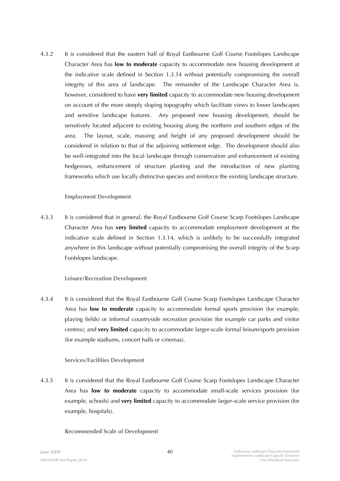4.3.2 It is considered that the eastern half of Royal Eastbourne Golf Course Footslopes Landscape Character Area has **low to moderate** capacity to accommodate new housing development at the indicative scale defined in Section 1.3.14 without potentially compromising the overall integrity of this area of landscape. The remainder of the Landscape Character Area is, however, considered to have **very limited** capacity to accommodate new housing development on account of the more steeply sloping topography which facilitate views to lower landscapes and sensitive landscape features. Any proposed new housing development, should be sensitively located adjacent to existing housing along the northern and southern edges of the area. The layout, scale, massing and height of any proposed development should be considered in relation to that of the adjoining settlement edge. The development should also be well-integrated into the local landscape through conservation and enhancement of existing hedgerows, enhancement of structure planting and the introduction of new planting frameworks which use locally distinctive species and reinforce the existing landscape structure.

## **Employment Development**

4.3.3 It is considered that in general, the Royal Eastbourne Golf Course Scarp Footslopes Landscape Character Area has **very limited** capacity to accommodate employment development at the indicative scale defined in Section 1.3.14, which is unlikely to be successfully integrated anywhere in this landscape without potentially compromising the overall integrity of the Scarp Footslopes landscape.

## **Leisure/Recreation Development**

4.3.4 It is considered that the Royal Eastbourne Golf Course Scarp Footslopes Landscape Character Area has **low to moderate** capacity to accommodate formal sports provision (for example, playing fields) or informal countryside recreation provision (for example car parks and visitor centres); and **very limited** capacity to accommodate larger-scale formal leisure/sports provision (for example stadiums, concert halls or cinemas).

## **Services/Facilities Development**

4.3.5 It is considered that the Royal Eastbourne Golf Course Scarp Footslopes Landscape Character Area has **low to moderate** capacity to accommodate small-scale services provision (for example, schools) and **very limited** capacity to accommodate larger-scale service provision (for example, hospitals).

#### **Recommended Scale of Development**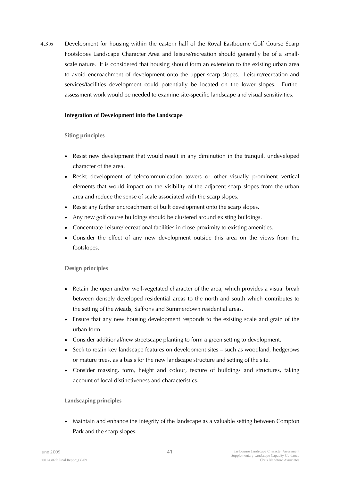4.3.6 Development for housing within the eastern half of the Royal Eastbourne Golf Course Scarp Footslopes Landscape Character Area and leisure/recreation should generally be of a smallscale nature. It is considered that housing should form an extension to the existing urban area to avoid encroachment of development onto the upper scarp slopes. Leisure/recreation and services/facilities development could potentially be located on the lower slopes. Further assessment work would be needed to examine site-specific landscape and visual sensitivities.

## **Integration of Development into the Landscape**

## **Siting principles**

- Resist new development that would result in any diminution in the tranquil, undeveloped character of the area.
- Resist development of telecommunication towers or other visually prominent vertical elements that would impact on the visibility of the adjacent scarp slopes from the urban area and reduce the sense of scale associated with the scarp slopes.
- Resist any further encroachment of built development onto the scarp slopes.
- Any new golf course buildings should be clustered around existing buildings.
- Concentrate Leisure/recreational facilities in close proximity to existing amenities.
- Consider the effect of any new development outside this area on the views from the footslopes.

# **Design principles**

- Retain the open and/or well-vegetated character of the area, which provides a visual break between densely developed residential areas to the north and south which contributes to the setting of the Meads, Saffrons and Summerdown residential areas.
- Ensure that any new housing development responds to the existing scale and grain of the urban form.
- Consider additional/new streetscape planting to form a green setting to development.
- Seek to retain key landscape features on development sites such as woodland, hedgerows or mature trees, as a basis for the new landscape structure and setting of the site.
- Consider massing, form, height and colour, texture of buildings and structures, taking account of local distinctiveness and characteristics.

# **Landscaping principles**

• Maintain and enhance the integrity of the landscape as a valuable setting between Compton Park and the scarp slopes.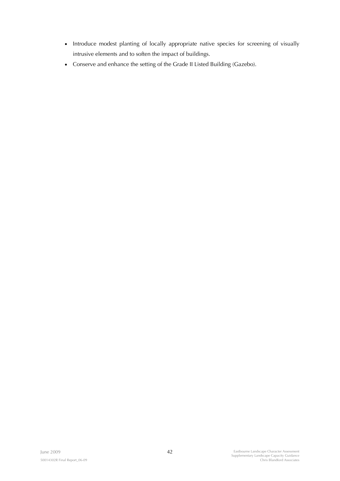- Introduce modest planting of locally appropriate native species for screening of visually intrusive elements and to soften the impact of buildings.
- Conserve and enhance the setting of the Grade II Listed Building (Gazebo).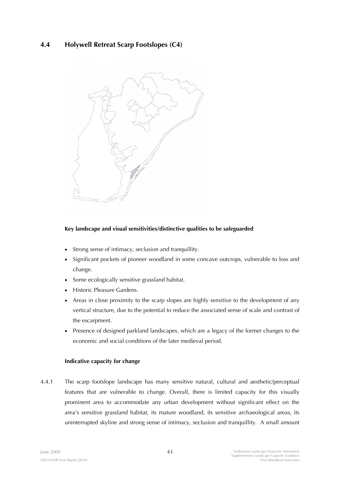# **4.4 Holywell Retreat Scarp Footslopes (C4)**



## **Key landscape and visual sensitivities/distinctive qualities to be safeguarded**

- Strong sense of intimacy, seclusion and tranquillity.
- Significant pockets of pioneer woodland in some concave outcrops, vulnerable to loss and change.
- Some ecologically sensitive grassland habitat.
- Historic Pleasure Gardens.
- Areas in close proximity to the scarp slopes are highly sensitive to the development of any vertical structure, due to the potential to reduce the associated sense of scale and contrast of the escarpment.
- Presence of designed parkland landscapes, which are a legacy of the former changes to the economic and social conditions of the later medieval period.

## **Indicative capacity for change**

4.4.1 The scarp footslope landscape has many sensitive natural, cultural and aesthetic/perceptual features that are vulnerable to change. Overall, there is limited capacity for this visually prominent area to accommodate any urban development without significant effect on the area's sensitive grassland habitat, its mature woodland, its sensitive archaeological areas, its uninterrupted skyline and strong sense of intimacy, seclusion and tranquillity. A small amount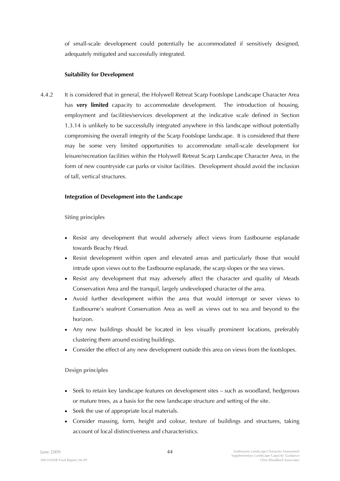of small-scale development could potentially be accommodated if sensitively designed, adequately mitigated and successfully integrated.

## **Suitability for Development**

4.4.2 It is considered that in general, the Holywell Retreat Scarp Footslope Landscape Character Area has **very limited** capacity to accommodate development. The introduction of housing, employment and facilities/services development at the indicative scale defined in Section 1.3.14 is unlikely to be successfully integrated anywhere in this landscape without potentially compromising the overall integrity of the Scarp Footslope landscape. It is considered that there may be some very limited opportunities to accommodate small-scale development for leisure/recreation facilities within the Holywell Retreat Scarp Landscape Character Area, in the form of new countryside car parks or visitor facilities. Development should avoid the inclusion of tall, vertical structures.

## **Integration of Development into the Landscape**

**Siting principles** 

- Resist any development that would adversely affect views from Eastbourne esplanade towards Beachy Head.
- Resist development within open and elevated areas and particularly those that would intrude upon views out to the Eastbourne esplanade, the scarp slopes or the sea views.
- Resist any development that may adversely affect the character and quality of Meads Conservation Area and the tranquil, largely undeveloped character of the area.
- Avoid further development within the area that would interrupt or sever views to Eastbourne's seafront Conservation Area as well as views out to sea and beyond to the horizon.
- Any new buildings should be located in less visually prominent locations, preferably clustering them around existing buildings.
- Consider the effect of any new development outside this area on views from the footslopes.

## **Design principles**

- Seek to retain key landscape features on development sites such as woodland, hedgerows or mature trees, as a basis for the new landscape structure and setting of the site.
- Seek the use of appropriate local materials.
- Consider massing, form, height and colour, texture of buildings and structures, taking account of local distinctiveness and characteristics.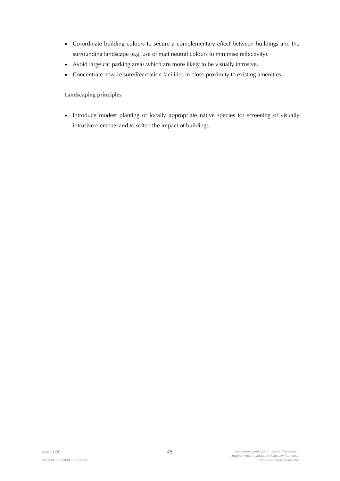- Co-ordinate building colours to secure a complementary effect between buildings and the surrounding landscape (e.g. use of matt neutral colours to minimise reflectivity).
- Avoid large car parking areas which are more likely to be visually intrusive.
- Concentrate new Leisure/Recreation facilities in close proximity to existing amenities.

**Landscaping principles** 

• Introduce modest planting of locally appropriate native species for screening of visually intrusive elements and to soften the impact of buildings.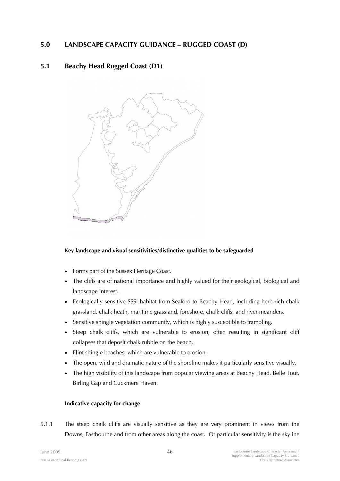# **5.0 LANDSCAPE CAPACITY GUIDANCE – RUGGED COAST (D)**

# **5.1 Beachy Head Rugged Coast (D1)**



# **Key landscape and visual sensitivities/distinctive qualities to be safeguarded**

- Forms part of the Sussex Heritage Coast.
- The cliffs are of national importance and highly valued for their geological, biological and landscape interest.
- Ecologically sensitive SSSI habitat from Seaford to Beachy Head, including herb-rich chalk grassland, chalk heath, maritime grassland, foreshore, chalk cliffs, and river meanders.
- Sensitive shingle vegetation community, which is highly susceptible to trampling.
- Steep chalk cliffs, which are vulnerable to erosion, often resulting in significant cliff collapses that deposit chalk rubble on the beach.
- Flint shingle beaches, which are vulnerable to erosion.
- The open, wild and dramatic nature of the shoreline makes it particularly sensitive visually.
- The high visibility of this landscape from popular viewing areas at Beachy Head, Belle Tout, Birling Gap and Cuckmere Haven.

# **Indicative capacity for change**

5.1.1 The steep chalk cliffs are visually sensitive as they are very prominent in views from the Downs, Eastbourne and from other areas along the coast. Of particular sensitivity is the skyline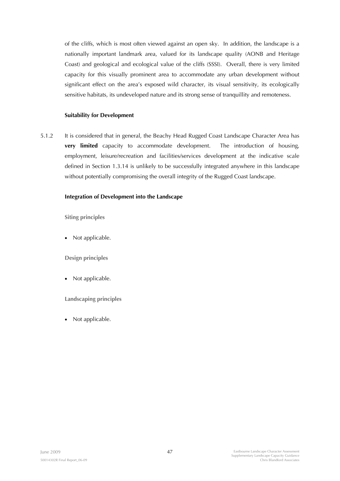of the cliffs, which is most often viewed against an open sky. In addition, the landscape is a nationally important landmark area, valued for its landscape quality (AONB and Heritage Coast) and geological and ecological value of the cliffs (SSSI). Overall, there is very limited capacity for this visually prominent area to accommodate any urban development without significant effect on the area's exposed wild character, its visual sensitivity, its ecologically sensitive habitats, its undeveloped nature and its strong sense of tranquillity and remoteness.

## **Suitability for Development**

5.1.2 It is considered that in general, the Beachy Head Rugged Coast Landscape Character Area has **very limited** capacity to accommodate development. The introduction of housing, employment, leisure/recreation and facilities/services development at the indicative scale defined in Section 1.3.14 is unlikely to be successfully integrated anywhere in this landscape without potentially compromising the overall integrity of the Rugged Coast landscape.

### **Integration of Development into the Landscape**

**Siting principles** 

Not applicable.

**Design principles** 

• Not applicable.

**Landscaping principles** 

• Not applicable.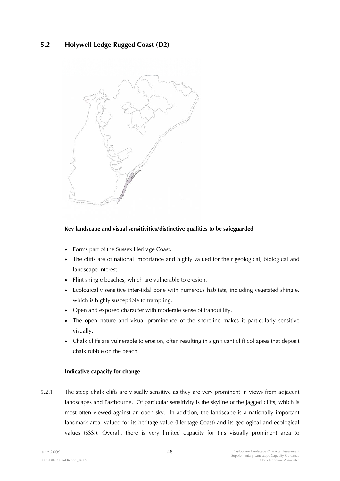# **5.2 Holywell Ledge Rugged Coast (D2)**



## **Key landscape and visual sensitivities/distinctive qualities to be safeguarded**

- Forms part of the Sussex Heritage Coast.
- The cliffs are of national importance and highly valued for their geological, biological and landscape interest.
- Flint shingle beaches, which are vulnerable to erosion.
- Ecologically sensitive inter-tidal zone with numerous habitats, including vegetated shingle, which is highly susceptible to trampling.
- Open and exposed character with moderate sense of tranquillity.
- The open nature and visual prominence of the shoreline makes it particularly sensitive visually.
- Chalk cliffs are vulnerable to erosion, often resulting in significant cliff collapses that deposit chalk rubble on the beach.

## **Indicative capacity for change**

5.2.1 The steep chalk cliffs are visually sensitive as they are very prominent in views from adjacent landscapes and Eastbourne. Of particular sensitivity is the skyline of the jagged cliffs, which is most often viewed against an open sky. In addition, the landscape is a nationally important landmark area, valued for its heritage value (Heritage Coast) and its geological and ecological values (SSSI). Overall, there is very limited capacity for this visually prominent area to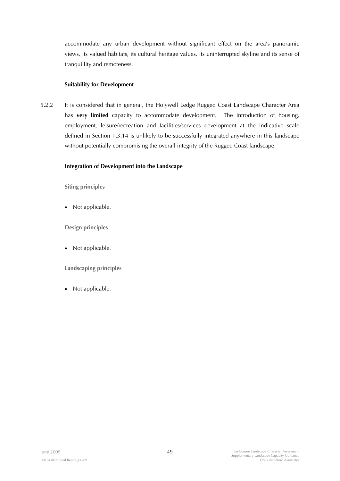accommodate any urban development without significant effect on the area's panoramic views, its valued habitats, its cultural heritage values, its uninterrupted skyline and its sense of tranquillity and remoteness.

## **Suitability for Development**

5.2.2 It is considered that in general, the Holywell Ledge Rugged Coast Landscape Character Area has **very limited** capacity to accommodate development. The introduction of housing, employment, leisure/recreation and facilities/services development at the indicative scale defined in Section 1.3.14 is unlikely to be successfully integrated anywhere in this landscape without potentially compromising the overall integrity of the Rugged Coast landscape.

## **Integration of Development into the Landscape**

**Siting principles** 

• Not applicable.

**Design principles** 

• Not applicable.

**Landscaping principles** 

• Not applicable.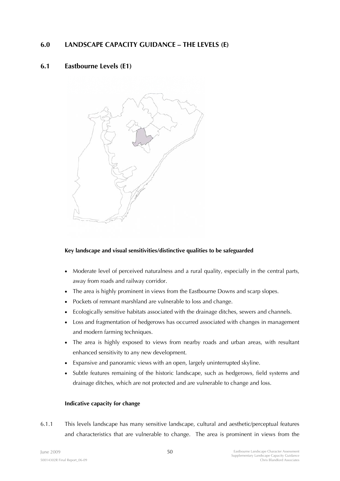# **6.0 LANDSCAPE CAPACITY GUIDANCE – THE LEVELS (E)**

# **6.1 Eastbourne Levels (E1)**



# **Key landscape and visual sensitivities/distinctive qualities to be safeguarded**

- Moderate level of perceived naturalness and a rural quality, especially in the central parts, away from roads and railway corridor.
- The area is highly prominent in views from the Eastbourne Downs and scarp slopes.
- Pockets of remnant marshland are vulnerable to loss and change.
- Ecologically sensitive habitats associated with the drainage ditches, sewers and channels.
- Loss and fragmentation of hedgerows has occurred associated with changes in management and modern farming techniques.
- The area is highly exposed to views from nearby roads and urban areas, with resultant enhanced sensitivity to any new development.
- Expansive and panoramic views with an open, largely uninterrupted skyline.
- Subtle features remaining of the historic landscape, such as hedgerows, field systems and drainage ditches, which are not protected and are vulnerable to change and loss.

## **Indicative capacity for change**

6.1.1 This levels landscape has many sensitive landscape, cultural and aesthetic/perceptual features and characteristics that are vulnerable to change. The area is prominent in views from the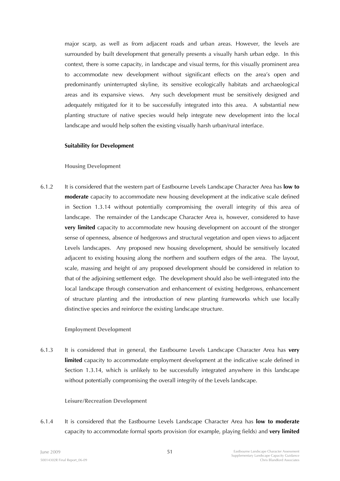major scarp, as well as from adjacent roads and urban areas. However, the levels are surrounded by built development that generally presents a visually harsh urban edge. In this context, there is some capacity, in landscape and visual terms, for this visually prominent area to accommodate new development without significant effects on the area's open and predominantly uninterrupted skyline, its sensitive ecologically habitats and archaeological areas and its expansive views. Any such development must be sensitively designed and adequately mitigated for it to be successfully integrated into this area. A substantial new planting structure of native species would help integrate new development into the local landscape and would help soften the existing visually harsh urban/rural interface.

#### **Suitability for Development**

#### **Housing Development**

6.1.2 It is considered that the western part of Eastbourne Levels Landscape Character Area has **low to moderate** capacity to accommodate new housing development at the indicative scale defined in Section 1.3.14 without potentially compromising the overall integrity of this area of landscape. The remainder of the Landscape Character Area is, however, considered to have **very limited** capacity to accommodate new housing development on account of the stronger sense of openness, absence of hedgerows and structural vegetation and open views to adjacent Levels landscapes. Any proposed new housing development, should be sensitively located adjacent to existing housing along the northern and southern edges of the area. The layout, scale, massing and height of any proposed development should be considered in relation to that of the adjoining settlement edge. The development should also be well-integrated into the local landscape through conservation and enhancement of existing hedgerows, enhancement of structure planting and the introduction of new planting frameworks which use locally distinctive species and reinforce the existing landscape structure.

#### **Employment Development**

6.1.3 It is considered that in general, the Eastbourne Levels Landscape Character Area has **very limited** capacity to accommodate employment development at the indicative scale defined in Section 1.3.14, which is unlikely to be successfully integrated anywhere in this landscape without potentially compromising the overall integrity of the Levels landscape.

### **Leisure/Recreation Development**

6.1.4 It is considered that the Eastbourne Levels Landscape Character Area has **low to moderate**  capacity to accommodate formal sports provision (for example, playing fields) and **very limited**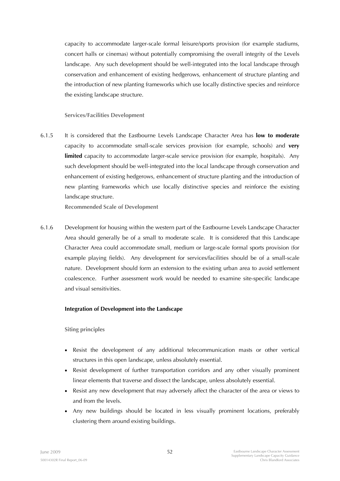capacity to accommodate larger-scale formal leisure/sports provision (for example stadiums, concert halls or cinemas) without potentially compromising the overall integrity of the Levels landscape. Any such development should be well-integrated into the local landscape through conservation and enhancement of existing hedgerows, enhancement of structure planting and the introduction of new planting frameworks which use locally distinctive species and reinforce the existing landscape structure.

## **Services/Facilities Development**

6.1.5 It is considered that the Eastbourne Levels Landscape Character Area has **low to moderate**  capacity to accommodate small-scale services provision (for example, schools) and **very**  limited capacity to accommodate larger-scale service provision (for example, hospitals). Any such development should be well-integrated into the local landscape through conservation and enhancement of existing hedgerows, enhancement of structure planting and the introduction of new planting frameworks which use locally distinctive species and reinforce the existing landscape structure.

**Recommended Scale of Development** 

6.1.6 Development for housing within the western part of the Eastbourne Levels Landscape Character Area should generally be of a small to moderate scale. It is considered that this Landscape Character Area could accommodate small, medium or large-scale formal sports provision (for example playing fields). Any development for services/facilities should be of a small-scale nature. Development should form an extension to the existing urban area to avoid settlement coalescence. Further assessment work would be needed to examine site-specific landscape and visual sensitivities.

## **Integration of Development into the Landscape**

**Siting principles** 

- Resist the development of any additional telecommunication masts or other vertical structures in this open landscape, unless absolutely essential.
- Resist development of further transportation corridors and any other visually prominent linear elements that traverse and dissect the landscape, unless absolutely essential.
- Resist any new development that may adversely affect the character of the area or views to and from the levels.
- Any new buildings should be located in less visually prominent locations, preferably clustering them around existing buildings.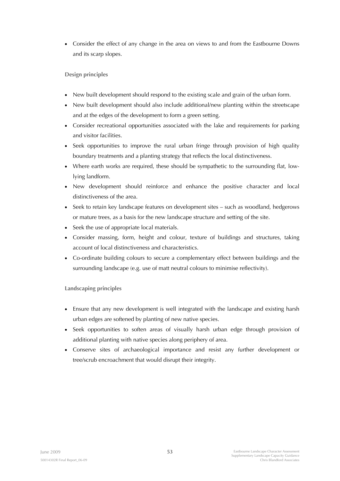• Consider the effect of any change in the area on views to and from the Eastbourne Downs and its scarp slopes.

# **Design principles**

- New built development should respond to the existing scale and grain of the urban form.
- New built development should also include additional/new planting within the streetscape and at the edges of the development to form a green setting.
- Consider recreational opportunities associated with the lake and requirements for parking and visitor facilities.
- Seek opportunities to improve the rural urban fringe through provision of high quality boundary treatments and a planting strategy that reflects the local distinctiveness.
- Where earth works are required, these should be sympathetic to the surrounding flat, lowlying landform.
- New development should reinforce and enhance the positive character and local distinctiveness of the area.
- Seek to retain key landscape features on development sites such as woodland, hedgerows or mature trees, as a basis for the new landscape structure and setting of the site.
- Seek the use of appropriate local materials.
- Consider massing, form, height and colour, texture of buildings and structures, taking account of local distinctiveness and characteristics.
- Co-ordinate building colours to secure a complementary effect between buildings and the surrounding landscape (e.g. use of matt neutral colours to minimise reflectivity).

# **Landscaping principles**

- Ensure that any new development is well integrated with the landscape and existing harsh urban edges are softened by planting of new native species.
- Seek opportunities to soften areas of visually harsh urban edge through provision of additional planting with native species along periphery of area.
- Conserve sites of archaeological importance and resist any further development or tree/scrub encroachment that would disrupt their integrity.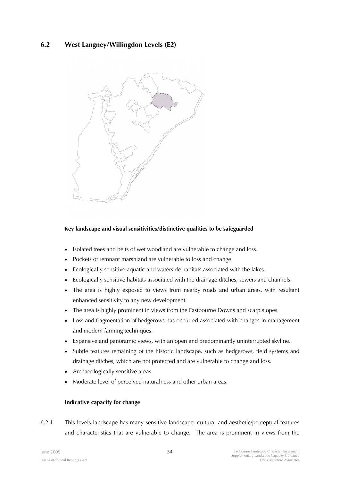# **6.2 West Langney/Willingdon Levels (E2)**



## **Key landscape and visual sensitivities/distinctive qualities to be safeguarded**

- Isolated trees and belts of wet woodland are vulnerable to change and loss.
- Pockets of remnant marshland are vulnerable to loss and change.
- Ecologically sensitive aquatic and waterside habitats associated with the lakes.
- Ecologically sensitive habitats associated with the drainage ditches, sewers and channels.
- The area is highly exposed to views from nearby roads and urban areas, with resultant enhanced sensitivity to any new development.
- The area is highly prominent in views from the Eastbourne Downs and scarp slopes.
- Loss and fragmentation of hedgerows has occurred associated with changes in management and modern farming techniques.
- Expansive and panoramic views, with an open and predominantly uninterrupted skyline.
- Subtle features remaining of the historic landscape, such as hedgerows, field systems and drainage ditches, which are not protected and are vulnerable to change and loss.
- Archaeologically sensitive areas.
- Moderate level of perceived naturalness and other urban areas.

#### **Indicative capacity for change**

6.2.1 This levels landscape has many sensitive landscape, cultural and aesthetic/perceptual features and characteristics that are vulnerable to change. The area is prominent in views from the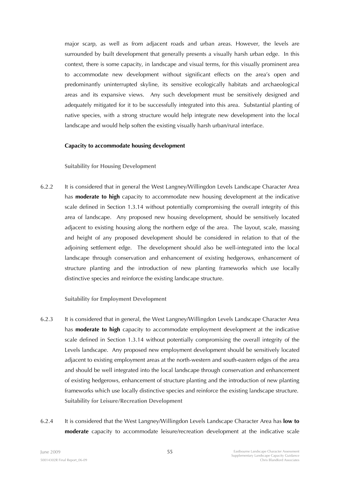major scarp, as well as from adjacent roads and urban areas. However, the levels are surrounded by built development that generally presents a visually harsh urban edge. In this context, there is some capacity, in landscape and visual terms, for this visually prominent area to accommodate new development without significant effects on the area's open and predominantly uninterrupted skyline, its sensitive ecologically habitats and archaeological areas and its expansive views. Any such development must be sensitively designed and adequately mitigated for it to be successfully integrated into this area. Substantial planting of native species, with a strong structure would help integrate new development into the local landscape and would help soften the existing visually harsh urban/rural interface.

#### **Capacity to accommodate housing development**

### **Suitability for Housing Development**

6.2.2 It is considered that in general the West Langney/Willingdon Levels Landscape Character Area has **moderate to high** capacity to accommodate new housing development at the indicative scale defined in Section 1.3.14 without potentially compromising the overall integrity of this area of landscape. Any proposed new housing development, should be sensitively located adjacent to existing housing along the northern edge of the area. The layout, scale, massing and height of any proposed development should be considered in relation to that of the adjoining settlement edge. The development should also be well-integrated into the local landscape through conservation and enhancement of existing hedgerows, enhancement of structure planting and the introduction of new planting frameworks which use locally distinctive species and reinforce the existing landscape structure.

#### **Suitability for Employment Development**

- 6.2.3 It is considered that in general, the West Langney/Willingdon Levels Landscape Character Area has **moderate to high** capacity to accommodate employment development at the indicative scale defined in Section 1.3.14 without potentially compromising the overall integrity of the Levels landscape. Any proposed new employment development should be sensitively located adjacent to existing employment areas at the north-western and south-eastern edges of the area and should be well integrated into the local landscape through conservation and enhancement of existing hedgerows, enhancement of structure planting and the introduction of new planting frameworks which use locally distinctive species and reinforce the existing landscape structure. **Suitability for Leisure/Recreation Development**
- 6.2.4 It is considered that the West Langney/Willingdon Levels Landscape Character Area has **low to moderate** capacity to accommodate leisure/recreation development at the indicative scale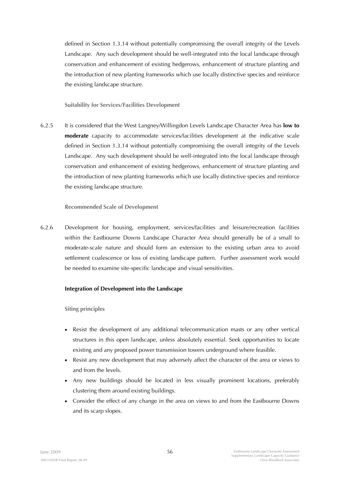defined in Section 1.3.14 without potentially compromising the overall integrity of the Levels Landscape. Any such development should be well-integrated into the local landscape through conservation and enhancement of existing hedgerows, enhancement of structure planting and the introduction of new planting frameworks which use locally distinctive species and reinforce the existing landscape structure.

**Suitability for Services/Facilities Development** 

6.2.5 It is considered that the West Langney/Willingdon Levels Landscape Character Area has **low to moderate** capacity to accommodate services/facilities development at the indicative scale defined in Section 1.3.14 without potentially compromising the overall integrity of the Levels Landscape. Any such development should be well-integrated into the local landscape through conservation and enhancement of existing hedgerows, enhancement of structure planting and the introduction of new planting frameworks which use locally distinctive species and reinforce the existing landscape structure.

## **Recommended Scale of Development**

6.2.6 Development for housing, employment, services/facilities and leisure/recreation facilities within the Eastbourne Downs Landscape Character Area should generally be of a small to moderate-scale nature and should form an extension to the existing urban area to avoid settlement coalescence or loss of existing landscape pattern. Further assessment work would be needed to examine site-specific landscape and visual sensitivities.

## **Integration of Development into the Landscape**

**Siting principles** 

- Resist the development of any additional telecommunication masts or any other vertical structures in this open landscape, unless absolutely essential. Seek opportunities to locate existing and any proposed power transmission towers underground where feasible.
- Resist any new development that may adversely affect the character of the area or views to and from the levels.
- Any new buildings should be located in less visually prominent locations, preferably clustering them around existing buildings.
- Consider the effect of any change in the area on views to and from the Eastbourne Downs and its scarp slopes.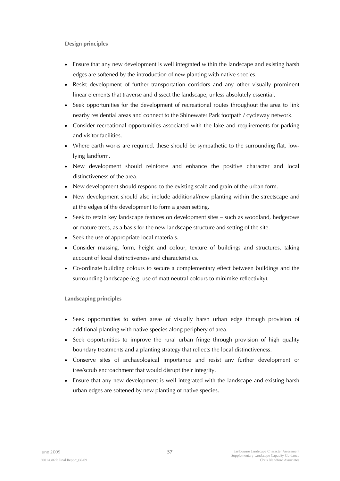**Design principles** 

- Ensure that any new development is well integrated within the landscape and existing harsh edges are softened by the introduction of new planting with native species.
- Resist development of further transportation corridors and any other visually prominent linear elements that traverse and dissect the landscape, unless absolutely essential.
- Seek opportunities for the development of recreational routes throughout the area to link nearby residential areas and connect to the Shinewater Park footpath / cycleway network.
- Consider recreational opportunities associated with the lake and requirements for parking and visitor facilities.
- Where earth works are required, these should be sympathetic to the surrounding flat, lowlying landform.
- New development should reinforce and enhance the positive character and local distinctiveness of the area.
- New development should respond to the existing scale and grain of the urban form.
- New development should also include additional/new planting within the streetscape and at the edges of the development to form a green setting.
- Seek to retain key landscape features on development sites such as woodland, hedgerows or mature trees, as a basis for the new landscape structure and setting of the site.
- Seek the use of appropriate local materials.
- Consider massing, form, height and colour, texture of buildings and structures, taking account of local distinctiveness and characteristics.
- Co-ordinate building colours to secure a complementary effect between buildings and the surrounding landscape (e.g. use of matt neutral colours to minimise reflectivity).

**Landscaping principles** 

- Seek opportunities to soften areas of visually harsh urban edge through provision of additional planting with native species along periphery of area.
- Seek opportunities to improve the rural urban fringe through provision of high quality boundary treatments and a planting strategy that reflects the local distinctiveness.
- Conserve sites of archaeological importance and resist any further development or tree/scrub encroachment that would disrupt their integrity.
- Ensure that any new development is well integrated with the landscape and existing harsh urban edges are softened by new planting of native species.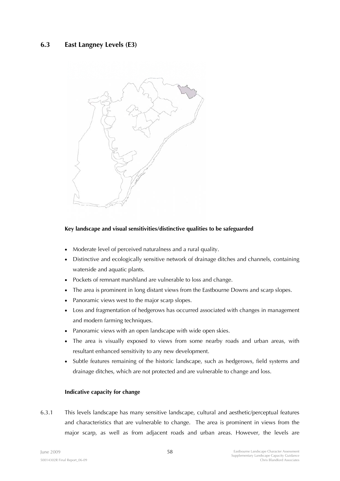# **6.3 East Langney Levels (E3)**



## **Key landscape and visual sensitivities/distinctive qualities to be safeguarded**

- Moderate level of perceived naturalness and a rural quality.
- Distinctive and ecologically sensitive network of drainage ditches and channels, containing waterside and aquatic plants.
- Pockets of remnant marshland are vulnerable to loss and change.
- The area is prominent in long distant views from the Eastbourne Downs and scarp slopes.
- Panoramic views west to the major scarp slopes.
- Loss and fragmentation of hedgerows has occurred associated with changes in management and modern farming techniques.
- Panoramic views with an open landscape with wide open skies.
- The area is visually exposed to views from some nearby roads and urban areas, with resultant enhanced sensitivity to any new development.
- Subtle features remaining of the historic landscape, such as hedgerows, field systems and drainage ditches, which are not protected and are vulnerable to change and loss.

## **Indicative capacity for change**

6.3.1 This levels landscape has many sensitive landscape, cultural and aesthetic/perceptual features and characteristics that are vulnerable to change. The area is prominent in views from the major scarp, as well as from adjacent roads and urban areas. However, the levels are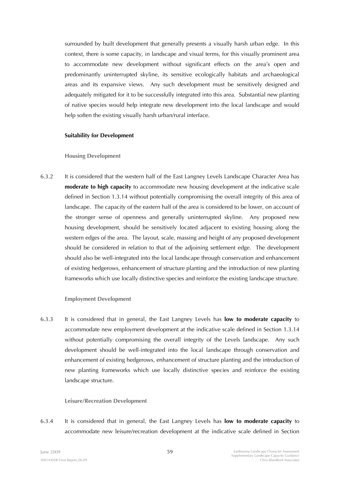surrounded by built development that generally presents a visually harsh urban edge. In this context, there is some capacity, in landscape and visual terms, for this visually prominent area to accommodate new development without significant effects on the area's open and predominantly uninterrupted skyline, its sensitive ecologically habitats and archaeological areas and its expansive views. Any such development must be sensitively designed and adequately mitigated for it to be successfully integrated into this area. Substantial new planting of native species would help integrate new development into the local landscape and would help soften the existing visually harsh urban/rural interface.

#### **Suitability for Development**

### **Housing Development**

6.3.2 It is considered that the western half of the East Langney Levels Landscape Character Area has **moderate to high capacity** to accommodate new housing development at the indicative scale defined in Section 1.3.14 without potentially compromising the overall integrity of this area of landscape. The capacity of the eastern half of the area is considered to be lower, on account of the stronger sense of openness and generally uninterrupted skyline. Any proposed new housing development, should be sensitively located adjacent to existing housing along the western edges of the area. The layout, scale, massing and height of any proposed development should be considered in relation to that of the adjoining settlement edge. The development should also be well-integrated into the local landscape through conservation and enhancement of existing hedgerows, enhancement of structure planting and the introduction of new planting frameworks which use locally distinctive species and reinforce the existing landscape structure.

## **Employment Development**

6.3.3 It is considered that in general, the East Langney Levels has **low to moderate capacity** to accommodate new employment development at the indicative scale defined in Section 1.3.14 without potentially compromising the overall integrity of the Levels landscape. Any such development should be well-integrated into the local landscape through conservation and enhancement of existing hedgerows, enhancement of structure planting and the introduction of new planting frameworks which use locally distinctive species and reinforce the existing landscape structure.

#### **Leisure/Recreation Development**

6.3.4 It is considered that in general, the East Langney Levels has **low to moderate capacity** to accommodate new leisure/recreation development at the indicative scale defined in Section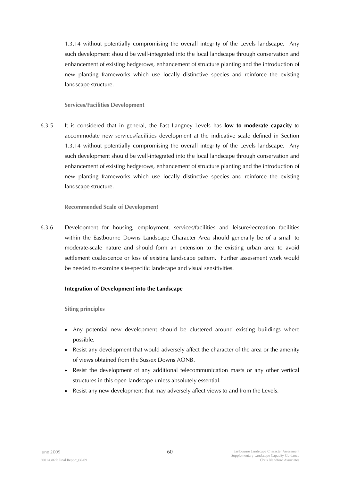1.3.14 without potentially compromising the overall integrity of the Levels landscape. Any such development should be well-integrated into the local landscape through conservation and enhancement of existing hedgerows, enhancement of structure planting and the introduction of new planting frameworks which use locally distinctive species and reinforce the existing landscape structure.

## **Services/Facilities Development**

6.3.5 It is considered that in general, the East Langney Levels has **low to moderate capacity** to accommodate new services/facilities development at the indicative scale defined in Section 1.3.14 without potentially compromising the overall integrity of the Levels landscape. Any such development should be well-integrated into the local landscape through conservation and enhancement of existing hedgerows, enhancement of structure planting and the introduction of new planting frameworks which use locally distinctive species and reinforce the existing landscape structure.

# **Recommended Scale of Development**

6.3.6 Development for housing, employment, services/facilities and leisure/recreation facilities within the Eastbourne Downs Landscape Character Area should generally be of a small to moderate-scale nature and should form an extension to the existing urban area to avoid settlement coalescence or loss of existing landscape pattern. Further assessment work would be needed to examine site-specific landscape and visual sensitivities.

# **Integration of Development into the Landscape**

**Siting principles** 

- Any potential new development should be clustered around existing buildings where possible.
- Resist any development that would adversely affect the character of the area or the amenity of views obtained from the Sussex Downs AONB.
- Resist the development of any additional telecommunication masts or any other vertical structures in this open landscape unless absolutely essential.
- Resist any new development that may adversely affect views to and from the Levels.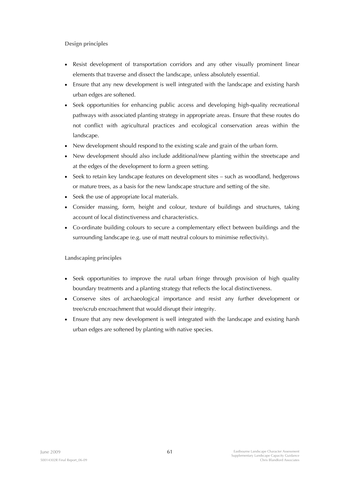**Design principles** 

- Resist development of transportation corridors and any other visually prominent linear elements that traverse and dissect the landscape, unless absolutely essential.
- Ensure that any new development is well integrated with the landscape and existing harsh urban edges are softened.
- Seek opportunities for enhancing public access and developing high-quality recreational pathways with associated planting strategy in appropriate areas. Ensure that these routes do not conflict with agricultural practices and ecological conservation areas within the landscape.
- New development should respond to the existing scale and grain of the urban form.
- New development should also include additional/new planting within the streetscape and at the edges of the development to form a green setting.
- Seek to retain key landscape features on development sites such as woodland, hedgerows or mature trees, as a basis for the new landscape structure and setting of the site.
- Seek the use of appropriate local materials.
- Consider massing, form, height and colour, texture of buildings and structures, taking account of local distinctiveness and characteristics.
- Co-ordinate building colours to secure a complementary effect between buildings and the surrounding landscape (e.g. use of matt neutral colours to minimise reflectivity).

**Landscaping principles** 

- Seek opportunities to improve the rural urban fringe through provision of high quality boundary treatments and a planting strategy that reflects the local distinctiveness.
- Conserve sites of archaeological importance and resist any further development or tree/scrub encroachment that would disrupt their integrity.
- Ensure that any new development is well integrated with the landscape and existing harsh urban edges are softened by planting with native species.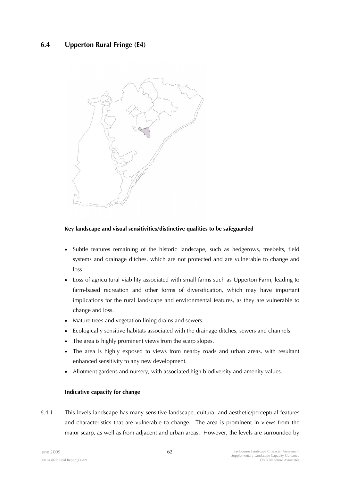# **6.4 Upperton Rural Fringe (E4)**



## **Key landscape and visual sensitivities/distinctive qualities to be safeguarded**

- Subtle features remaining of the historic landscape, such as hedgerows, treebelts, field systems and drainage ditches, which are not protected and are vulnerable to change and loss.
- Loss of agricultural viability associated with small farms such as Upperton Farm, leading to farm-based recreation and other forms of diversification, which may have important implications for the rural landscape and environmental features, as they are vulnerable to change and loss.
- Mature trees and vegetation lining drains and sewers.
- Ecologically sensitive habitats associated with the drainage ditches, sewers and channels.
- The area is highly prominent views from the scarp slopes.
- The area is highly exposed to views from nearby roads and urban areas, with resultant enhanced sensitivity to any new development.
- Allotment gardens and nursery, with associated high biodiversity and amenity values.

## **Indicative capacity for change**

6.4.1 This levels landscape has many sensitive landscape, cultural and aesthetic/perceptual features and characteristics that are vulnerable to change. The area is prominent in views from the major scarp, as well as from adjacent and urban areas. However, the levels are surrounded by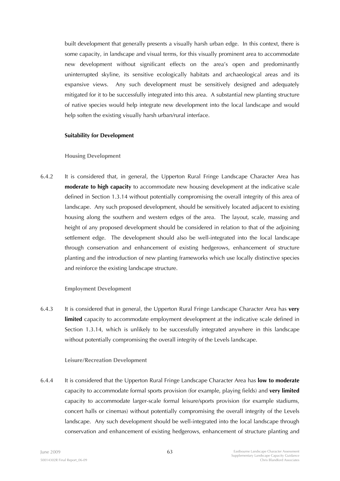built development that generally presents a visually harsh urban edge. In this context, there is some capacity, in landscape and visual terms, for this visually prominent area to accommodate new development without significant effects on the area's open and predominantly uninterrupted skyline, its sensitive ecologically habitats and archaeological areas and its expansive views. Any such development must be sensitively designed and adequately mitigated for it to be successfully integrated into this area. A substantial new planting structure of native species would help integrate new development into the local landscape and would help soften the existing visually harsh urban/rural interface.

### **Suitability for Development**

### **Housing Development**

6.4.2 It is considered that, in general, the Upperton Rural Fringe Landscape Character Area has **moderate to high capacity** to accommodate new housing development at the indicative scale defined in Section 1.3.14 without potentially compromising the overall integrity of this area of landscape. Any such proposed development, should be sensitively located adjacent to existing housing along the southern and western edges of the area. The layout, scale, massing and height of any proposed development should be considered in relation to that of the adjoining settlement edge. The development should also be well-integrated into the local landscape through conservation and enhancement of existing hedgerows, enhancement of structure planting and the introduction of new planting frameworks which use locally distinctive species and reinforce the existing landscape structure.

## **Employment Development**

6.4.3 It is considered that in general, the Upperton Rural Fringe Landscape Character Area has **very limited** capacity to accommodate employment development at the indicative scale defined in Section 1.3.14, which is unlikely to be successfully integrated anywhere in this landscape without potentially compromising the overall integrity of the Levels landscape.

#### **Leisure/Recreation Development**

6.4.4 It is considered that the Upperton Rural Fringe Landscape Character Area has **low to moderate**  capacity to accommodate formal sports provision (for example, playing fields) and **very limited**  capacity to accommodate larger-scale formal leisure/sports provision (for example stadiums, concert halls or cinemas) without potentially compromising the overall integrity of the Levels landscape. Any such development should be well-integrated into the local landscape through conservation and enhancement of existing hedgerows, enhancement of structure planting and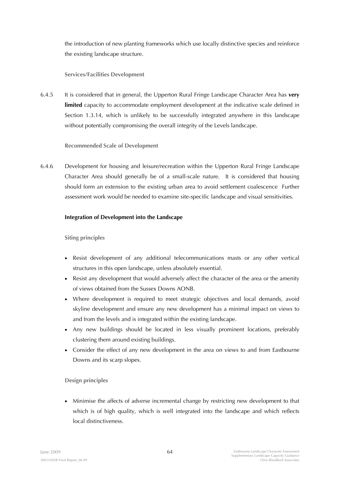the introduction of new planting frameworks which use locally distinctive species and reinforce the existing landscape structure.

## **Services/Facilities Development**

6.4.5 It is considered that in general, the Upperton Rural Fringe Landscape Character Area has **very limited** capacity to accommodate employment development at the indicative scale defined in Section 1.3.14, which is unlikely to be successfully integrated anywhere in this landscape without potentially compromising the overall integrity of the Levels landscape.

## **Recommended Scale of Development**

6.4.6 Development for housing and leisure/recreation within the Upperton Rural Fringe Landscape Character Area should generally be of a small-scale nature. It is considered that housing should form an extension to the existing urban area to avoid settlement coalescence Further assessment work would be needed to examine site-specific landscape and visual sensitivities.

## **Integration of Development into the Landscape**

## **Siting principles**

- Resist development of any additional telecommunications masts or any other vertical structures in this open landscape, unless absolutely essential.
- Resist any development that would adversely affect the character of the area or the amenity of views obtained from the Sussex Downs AONB.
- Where development is required to meet strategic objectives and local demands, avoid skyline development and ensure any new development has a minimal impact on views to and from the levels and is integrated within the existing landscape.
- Any new buildings should be located in less visually prominent locations, preferably clustering them around existing buildings.
- Consider the effect of any new development in the area on views to and from Eastbourne Downs and its scarp slopes.

# **Design principles**

• Minimise the affects of adverse incremental change by restricting new development to that which is of high quality, which is well integrated into the landscape and which reflects local distinctiveness.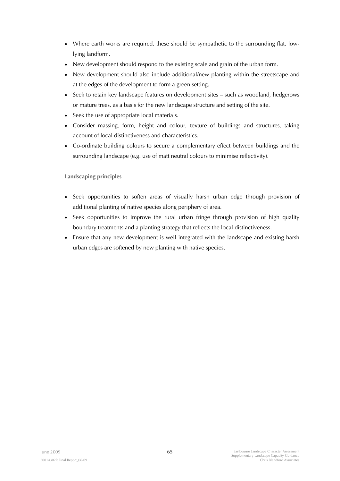- Where earth works are required, these should be sympathetic to the surrounding flat, lowlying landform.
- New development should respond to the existing scale and grain of the urban form.
- New development should also include additional/new planting within the streetscape and at the edges of the development to form a green setting.
- Seek to retain key landscape features on development sites such as woodland, hedgerows or mature trees, as a basis for the new landscape structure and setting of the site.
- Seek the use of appropriate local materials.
- Consider massing, form, height and colour, texture of buildings and structures, taking account of local distinctiveness and characteristics.
- Co-ordinate building colours to secure a complementary effect between buildings and the surrounding landscape (e.g. use of matt neutral colours to minimise reflectivity).

**Landscaping principles** 

- Seek opportunities to soften areas of visually harsh urban edge through provision of additional planting of native species along periphery of area.
- Seek opportunities to improve the rural urban fringe through provision of high quality boundary treatments and a planting strategy that reflects the local distinctiveness.
- Ensure that any new development is well integrated with the landscape and existing harsh urban edges are softened by new planting with native species.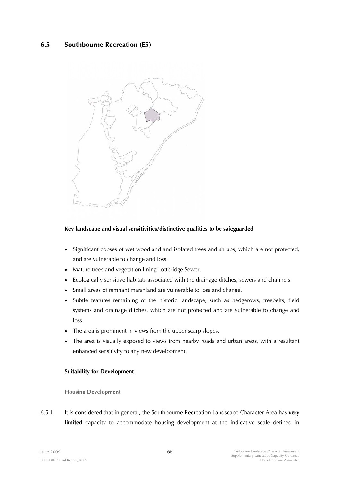# **6.5 Southbourne Recreation (E5)**



## **Key landscape and visual sensitivities/distinctive qualities to be safeguarded**

- Significant copses of wet woodland and isolated trees and shrubs, which are not protected, and are vulnerable to change and loss.
- Mature trees and vegetation lining Lottbridge Sewer.
- Ecologically sensitive habitats associated with the drainage ditches, sewers and channels.
- Small areas of remnant marshland are vulnerable to loss and change.
- Subtle features remaining of the historic landscape, such as hedgerows, treebelts, field systems and drainage ditches, which are not protected and are vulnerable to change and loss.
- The area is prominent in views from the upper scarp slopes.
- The area is visually exposed to views from nearby roads and urban areas, with a resultant enhanced sensitivity to any new development.

## **Suitability for Development**

#### **Housing Development**

6.5.1 It is considered that in general, the Southbourne Recreation Landscape Character Area has **very limited** capacity to accommodate housing development at the indicative scale defined in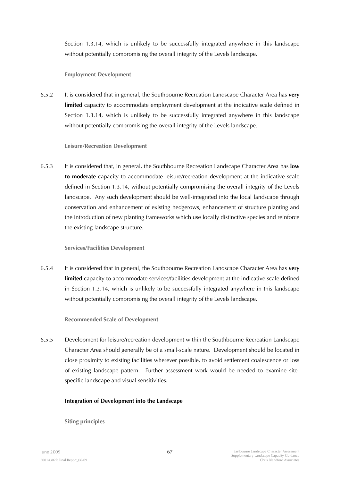Section 1.3.14, which is unlikely to be successfully integrated anywhere in this landscape without potentially compromising the overall integrity of the Levels landscape.

## **Employment Development**

6.5.2 It is considered that in general, the Southbourne Recreation Landscape Character Area has **very limited** capacity to accommodate employment development at the indicative scale defined in Section 1.3.14, which is unlikely to be successfully integrated anywhere in this landscape without potentially compromising the overall integrity of the Levels landscape.

## **Leisure/Recreation Development**

6.5.3 It is considered that, in general, the Southbourne Recreation Landscape Character Area has **low to moderate** capacity to accommodate leisure/recreation development at the indicative scale defined in Section 1.3.14, without potentially compromising the overall integrity of the Levels landscape. Any such development should be well-integrated into the local landscape through conservation and enhancement of existing hedgerows, enhancement of structure planting and the introduction of new planting frameworks which use locally distinctive species and reinforce the existing landscape structure.

# **Services/Facilities Development**

6.5.4 It is considered that in general, the Southbourne Recreation Landscape Character Area has **very limited** capacity to accommodate services/facilities development at the indicative scale defined in Section 1.3.14, which is unlikely to be successfully integrated anywhere in this landscape without potentially compromising the overall integrity of the Levels landscape.

# **Recommended Scale of Development**

6.5.5 Development for leisure/recreation development within the Southbourne Recreation Landscape Character Area should generally be of a small-scale nature. Development should be located in close proximity to existing facilities wherever possible, to avoid settlement coalescence or loss of existing landscape pattern. Further assessment work would be needed to examine sitespecific landscape and visual sensitivities.

# **Integration of Development into the Landscape**

**Siting principles**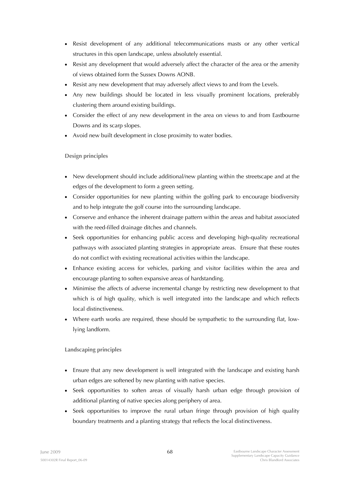- Resist development of any additional telecommunications masts or any other vertical structures in this open landscape, unless absolutely essential.
- Resist any development that would adversely affect the character of the area or the amenity of views obtained form the Sussex Downs AONB.
- Resist any new development that may adversely affect views to and from the Levels.
- Any new buildings should be located in less visually prominent locations, preferably clustering them around existing buildings.
- Consider the effect of any new development in the area on views to and from Eastbourne Downs and its scarp slopes.
- Avoid new built development in close proximity to water bodies.

# **Design principles**

- New development should include additional/new planting within the streetscape and at the edges of the development to form a green setting.
- Consider opportunities for new planting within the golfing park to encourage biodiversity and to help integrate the golf course into the surrounding landscape.
- Conserve and enhance the inherent drainage pattern within the areas and habitat associated with the reed-filled drainage ditches and channels.
- Seek opportunities for enhancing public access and developing high-quality recreational pathways with associated planting strategies in appropriate areas. Ensure that these routes do not conflict with existing recreational activities within the landscape.
- Enhance existing access for vehicles, parking and visitor facilities within the area and encourage planting to soften expansive areas of hardstanding.
- Minimise the affects of adverse incremental change by restricting new development to that which is of high quality, which is well integrated into the landscape and which reflects local distinctiveness.
- Where earth works are required, these should be sympathetic to the surrounding flat, lowlying landform.

# **Landscaping principles**

- Ensure that any new development is well integrated with the landscape and existing harsh urban edges are softened by new planting with native species.
- Seek opportunities to soften areas of visually harsh urban edge through provision of additional planting of native species along periphery of area.
- Seek opportunities to improve the rural urban fringe through provision of high quality boundary treatments and a planting strategy that reflects the local distinctiveness.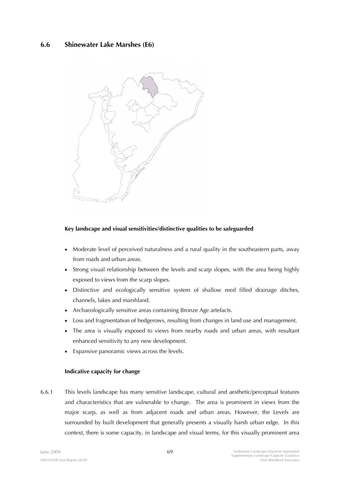# **6.6 Shinewater Lake Marshes (E6)**



## **Key landscape and visual sensitivities/distinctive qualities to be safeguarded**

- Moderate level of perceived naturalness and a rural quality in the southeastern parts, away from roads and urban areas.
- Strong visual relationship between the levels and scarp slopes, with the area being highly exposed to views from the scarp slopes.
- Distinctive and ecologically sensitive system of shallow reed filled drainage ditches, channels, lakes and marshland.
- Archaeologically sensitive areas containing Bronze Age artefacts.
- Loss and fragmentation of hedgerows, resulting from changes in land use and management.
- The area is visually exposed to views from nearby roads and urban areas, with resultant enhanced sensitivity to any new development.
- Expansive panoramic views across the levels.

### **Indicative capacity for change**

6.6.1 This levels landscape has many sensitive landscape, cultural and aesthetic/perceptual features and characteristics that are vulnerable to change. The area is prominent in views from the major scarp, as well as from adjacent roads and urban areas. However, the Levels are surrounded by built development that generally presents a visually harsh urban edge. In this context, there is some capacity, in landscape and visual terms, for this visually prominent area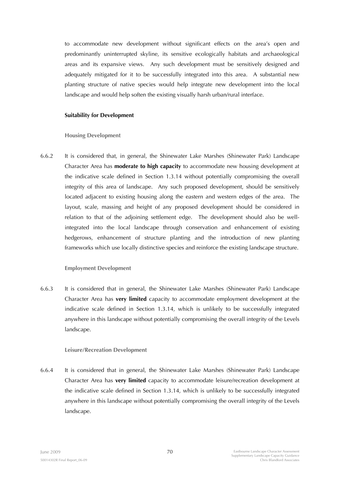to accommodate new development without significant effects on the area's open and predominantly uninterrupted skyline, its sensitive ecologically habitats and archaeological areas and its expansive views. Any such development must be sensitively designed and adequately mitigated for it to be successfully integrated into this area. A substantial new planting structure of native species would help integrate new development into the local landscape and would help soften the existing visually harsh urban/rural interface.

#### **Suitability for Development**

#### **Housing Development**

6.6.2 It is considered that, in general, the Shinewater Lake Marshes (Shinewater Park) Landscape Character Area has **moderate to high capacity** to accommodate new housing development at the indicative scale defined in Section 1.3.14 without potentially compromising the overall integrity of this area of landscape. Any such proposed development, should be sensitively located adjacent to existing housing along the eastern and western edges of the area. The layout, scale, massing and height of any proposed development should be considered in relation to that of the adjoining settlement edge. The development should also be wellintegrated into the local landscape through conservation and enhancement of existing hedgerows, enhancement of structure planting and the introduction of new planting frameworks which use locally distinctive species and reinforce the existing landscape structure.

### **Employment Development**

6.6.3 It is considered that in general, the Shinewater Lake Marshes (Shinewater Park) Landscape Character Area has **very limited** capacity to accommodate employment development at the indicative scale defined in Section 1.3.14, which is unlikely to be successfully integrated anywhere in this landscape without potentially compromising the overall integrity of the Levels landscape.

### **Leisure/Recreation Development**

6.6.4 It is considered that in general, the Shinewater Lake Marshes (Shinewater Park) Landscape Character Area has **very limited** capacity to accommodate leisure/recreation development at the indicative scale defined in Section 1.3.14, which is unlikely to be successfully integrated anywhere in this landscape without potentially compromising the overall integrity of the Levels landscape.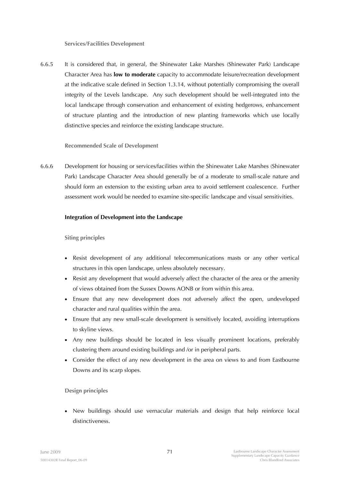#### **Services/Facilities Development**

6.6.5 It is considered that, in general, the Shinewater Lake Marshes (Shinewater Park) Landscape Character Area has **low to moderate** capacity to accommodate leisure/recreation development at the indicative scale defined in Section 1.3.14, without potentially compromising the overall integrity of the Levels landscape. Any such development should be well-integrated into the local landscape through conservation and enhancement of existing hedgerows, enhancement of structure planting and the introduction of new planting frameworks which use locally distinctive species and reinforce the existing landscape structure.

### **Recommended Scale of Development**

6.6.6 Development for housing or services/facilities within the Shinewater Lake Marshes (Shinewater Park) Landscape Character Area should generally be of a moderate to small-scale nature and should form an extension to the existing urban area to avoid settlement coalescence. Further assessment work would be needed to examine site-specific landscape and visual sensitivities.

## **Integration of Development into the Landscape**

### **Siting principles**

- Resist development of any additional telecommunications masts or any other vertical structures in this open landscape, unless absolutely necessary.
- Resist any development that would adversely affect the character of the area or the amenity of views obtained from the Sussex Downs AONB or from within this area.
- Ensure that any new development does not adversely affect the open, undeveloped character and rural qualities within the area.
- Ensure that any new small-scale development is sensitively located, avoiding interruptions to skyline views.
- Any new buildings should be located in less visually prominent locations, preferably clustering them around existing buildings and /or in peripheral parts.
- Consider the effect of any new development in the area on views to and from Eastbourne Downs and its scarp slopes.

# **Design principles**

• New buildings should use vernacular materials and design that help reinforce local distinctiveness.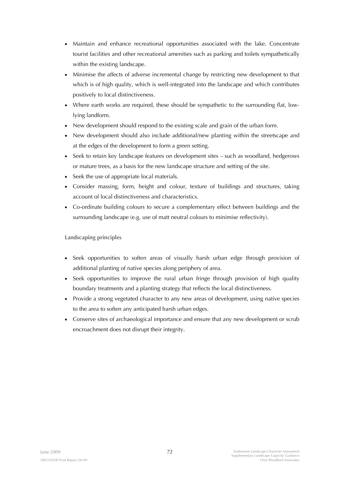- Maintain and enhance recreational opportunities associated with the lake. Concentrate tourist facilities and other recreational amenities such as parking and toilets sympathetically within the existing landscape.
- Minimise the affects of adverse incremental change by restricting new development to that which is of high quality, which is well-integrated into the landscape and which contributes positively to local distinctiveness.
- Where earth works are required, these should be sympathetic to the surrounding flat, lowlying landform.
- New development should respond to the existing scale and grain of the urban form.
- New development should also include additional/new planting within the streetscape and at the edges of the development to form a green setting.
- Seek to retain key landscape features on development sites such as woodland, hedgerows or mature trees, as a basis for the new landscape structure and setting of the site.
- Seek the use of appropriate local materials.
- Consider massing, form, height and colour, texture of buildings and structures, taking account of local distinctiveness and characteristics.
- Co-ordinate building colours to secure a complementary effect between buildings and the surrounding landscape (e.g. use of matt neutral colours to minimise reflectivity).

- Seek opportunities to soften areas of visually harsh urban edge through provision of additional planting of native species along periphery of area.
- Seek opportunities to improve the rural urban fringe through provision of high quality boundary treatments and a planting strategy that reflects the local distinctiveness.
- Provide a strong vegetated character to any new areas of development, using native species to the area to soften any anticipated harsh urban edges.
- Conserve sites of archaeological importance and ensure that any new development or scrub encroachment does not disrupt their integrity.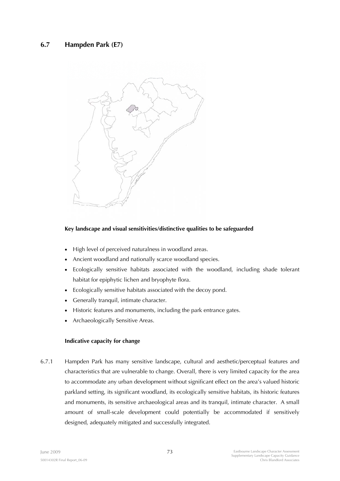

## **Key landscape and visual sensitivities/distinctive qualities to be safeguarded**

- High level of perceived naturalness in woodland areas.
- Ancient woodland and nationally scarce woodland species.
- Ecologically sensitive habitats associated with the woodland, including shade tolerant habitat for epiphytic lichen and bryophyte flora.
- Ecologically sensitive habitats associated with the decoy pond.
- Generally tranquil, intimate character.
- Historic features and monuments, including the park entrance gates.
- Archaeologically Sensitive Areas.

### **Indicative capacity for change**

6.7.1 Hampden Park has many sensitive landscape, cultural and aesthetic/perceptual features and characteristics that are vulnerable to change. Overall, there is very limited capacity for the area to accommodate any urban development without significant effect on the area's valued historic parkland setting, its significant woodland, its ecologically sensitive habitats, its historic features and monuments, its sensitive archaeological areas and its tranquil, intimate character. A small amount of small-scale development could potentially be accommodated if sensitively designed, adequately mitigated and successfully integrated.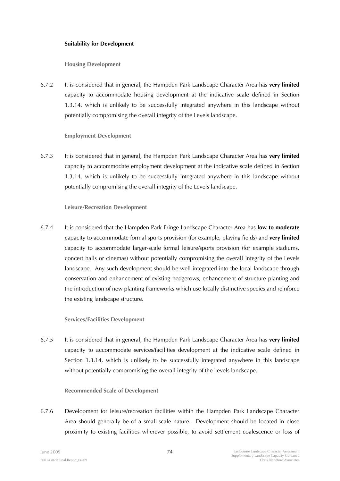#### **Suitability for Development**

**Housing Development** 

6.7.2 It is considered that in general, the Hampden Park Landscape Character Area has **very limited**  capacity to accommodate housing development at the indicative scale defined in Section 1.3.14, which is unlikely to be successfully integrated anywhere in this landscape without potentially compromising the overall integrity of the Levels landscape.

### **Employment Development**

6.7.3 It is considered that in general, the Hampden Park Landscape Character Area has **very limited**  capacity to accommodate employment development at the indicative scale defined in Section 1.3.14, which is unlikely to be successfully integrated anywhere in this landscape without potentially compromising the overall integrity of the Levels landscape.

### **Leisure/Recreation Development**

6.7.4 It is considered that the Hampden Park Fringe Landscape Character Area has **low to moderate**  capacity to accommodate formal sports provision (for example, playing fields) and **very limited**  capacity to accommodate larger-scale formal leisure/sports provision (for example stadiums, concert halls or cinemas) without potentially compromising the overall integrity of the Levels landscape. Any such development should be well-integrated into the local landscape through conservation and enhancement of existing hedgerows, enhancement of structure planting and the introduction of new planting frameworks which use locally distinctive species and reinforce the existing landscape structure.

### **Services/Facilities Development**

6.7.5 It is considered that in general, the Hampden Park Landscape Character Area has **very limited**  capacity to accommodate services/facilities development at the indicative scale defined in Section 1.3.14, which is unlikely to be successfully integrated anywhere in this landscape without potentially compromising the overall integrity of the Levels landscape.

### **Recommended Scale of Development**

6.7.6 Development for leisure/recreation facilities within the Hampden Park Landscape Character Area should generally be of a small-scale nature. Development should be located in close proximity to existing facilities wherever possible, to avoid settlement coalescence or loss of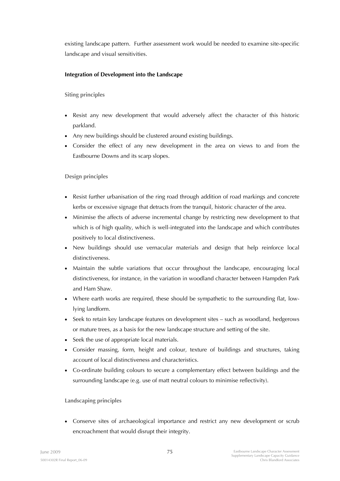existing landscape pattern. Further assessment work would be needed to examine site-specific landscape and visual sensitivities.

## **Integration of Development into the Landscape**

**Siting principles** 

- Resist any new development that would adversely affect the character of this historic parkland.
- Any new buildings should be clustered around existing buildings.
- Consider the effect of any new development in the area on views to and from the Eastbourne Downs and its scarp slopes.

**Design principles** 

- Resist further urbanisation of the ring road through addition of road markings and concrete kerbs or excessive signage that detracts from the tranquil, historic character of the area.
- Minimise the affects of adverse incremental change by restricting new development to that which is of high quality, which is well-integrated into the landscape and which contributes positively to local distinctiveness.
- New buildings should use vernacular materials and design that help reinforce local distinctiveness.
- Maintain the subtle variations that occur throughout the landscape, encouraging local distinctiveness, for instance, in the variation in woodland character between Hampden Park and Ham Shaw.
- Where earth works are required, these should be sympathetic to the surrounding flat, lowlying landform.
- Seek to retain key landscape features on development sites such as woodland, hedgerows or mature trees, as a basis for the new landscape structure and setting of the site.
- Seek the use of appropriate local materials.
- Consider massing, form, height and colour, texture of buildings and structures, taking account of local distinctiveness and characteristics.
- Co-ordinate building colours to secure a complementary effect between buildings and the surrounding landscape (e.g. use of matt neutral colours to minimise reflectivity).

**Landscaping principles** 

• Conserve sites of archaeological importance and restrict any new development or scrub encroachment that would disrupt their integrity.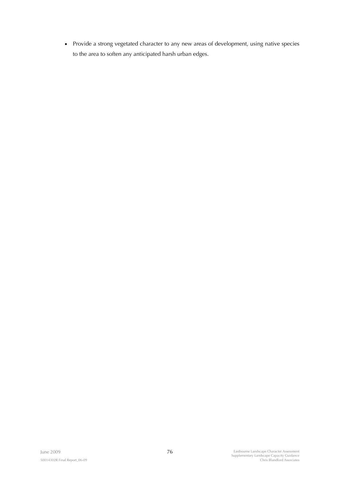• Provide a strong vegetated character to any new areas of development, using native species to the area to soften any anticipated harsh urban edges.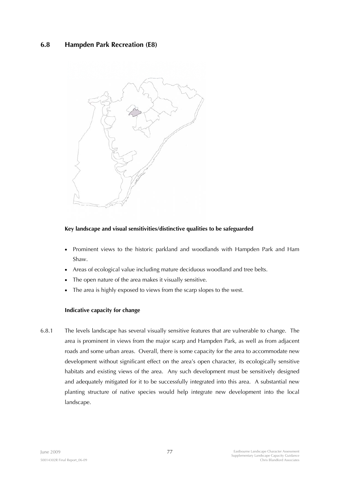# **6.8 Hampden Park Recreation (E8)**



### **Key landscape and visual sensitivities/distinctive qualities to be safeguarded**

- Prominent views to the historic parkland and woodlands with Hampden Park and Ham Shaw.
- Areas of ecological value including mature deciduous woodland and tree belts.
- The open nature of the area makes it visually sensitive.
- The area is highly exposed to views from the scarp slopes to the west.

### **Indicative capacity for change**

6.8.1 The levels landscape has several visually sensitive features that are vulnerable to change. The area is prominent in views from the major scarp and Hampden Park, as well as from adjacent roads and some urban areas. Overall, there is some capacity for the area to accommodate new development without significant effect on the area's open character, its ecologically sensitive habitats and existing views of the area. Any such development must be sensitively designed and adequately mitigated for it to be successfully integrated into this area. A substantial new planting structure of native species would help integrate new development into the local landscape.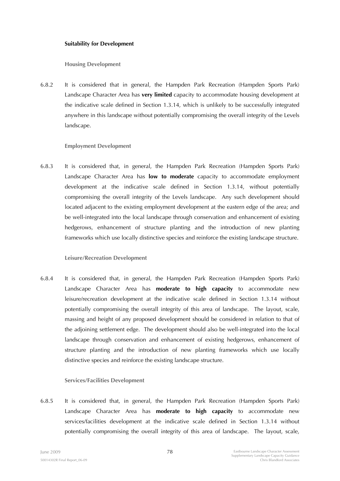#### **Suitability for Development**

**Housing Development** 

6.8.2 It is considered that in general, the Hampden Park Recreation (Hampden Sports Park) Landscape Character Area has **very limited** capacity to accommodate housing development at the indicative scale defined in Section 1.3.14, which is unlikely to be successfully integrated anywhere in this landscape without potentially compromising the overall integrity of the Levels landscape.

### **Employment Development**

6.8.3 It is considered that, in general, the Hampden Park Recreation (Hampden Sports Park) Landscape Character Area has **low to moderate** capacity to accommodate employment development at the indicative scale defined in Section 1.3.14, without potentially compromising the overall integrity of the Levels landscape. Any such development should located adjacent to the existing employment development at the eastern edge of the area; and be well-integrated into the local landscape through conservation and enhancement of existing hedgerows, enhancement of structure planting and the introduction of new planting frameworks which use locally distinctive species and reinforce the existing landscape structure.

### **Leisure/Recreation Development**

6.8.4 It is considered that, in general, the Hampden Park Recreation (Hampden Sports Park) Landscape Character Area has **moderate to high capacity** to accommodate new leisure/recreation development at the indicative scale defined in Section 1.3.14 without potentially compromising the overall integrity of this area of landscape. The layout, scale, massing and height of any proposed development should be considered in relation to that of the adjoining settlement edge. The development should also be well-integrated into the local landscape through conservation and enhancement of existing hedgerows, enhancement of structure planting and the introduction of new planting frameworks which use locally distinctive species and reinforce the existing landscape structure.

### **Services/Facilities Development**

6.8.5 It is considered that, in general, the Hampden Park Recreation (Hampden Sports Park) Landscape Character Area has **moderate to high capacity** to accommodate new services/facilities development at the indicative scale defined in Section 1.3.14 without potentially compromising the overall integrity of this area of landscape. The layout, scale,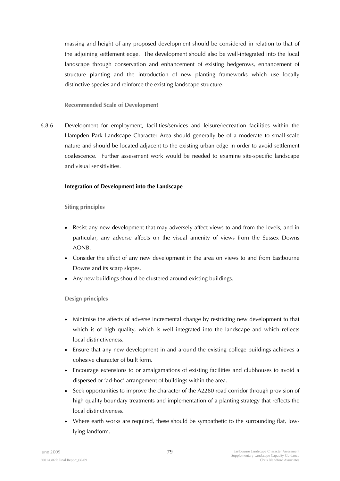massing and height of any proposed development should be considered in relation to that of the adjoining settlement edge. The development should also be well-integrated into the local landscape through conservation and enhancement of existing hedgerows, enhancement of structure planting and the introduction of new planting frameworks which use locally distinctive species and reinforce the existing landscape structure.

### **Recommended Scale of Development**

6.8.6 Development for employment, facilities/services and leisure/recreation facilities within the Hampden Park Landscape Character Area should generally be of a moderate to small-scale nature and should be located adjacent to the existing urban edge in order to avoid settlement coalescence. Further assessment work would be needed to examine site-specific landscape and visual sensitivities.

## **Integration of Development into the Landscape**

## **Siting principles**

- Resist any new development that may adversely affect views to and from the levels, and in particular, any adverse affects on the visual amenity of views from the Sussex Downs AONB.
- Consider the effect of any new development in the area on views to and from Eastbourne Downs and its scarp slopes.
- Any new buildings should be clustered around existing buildings.

# **Design principles**

- Minimise the affects of adverse incremental change by restricting new development to that which is of high quality, which is well integrated into the landscape and which reflects local distinctiveness.
- Ensure that any new development in and around the existing college buildings achieves a cohesive character of built form.
- Encourage extensions to or amalgamations of existing facilities and clubhouses to avoid a dispersed or 'ad-hoc' arrangement of buildings within the area.
- Seek opportunities to improve the character of the A2280 road corridor through provision of high quality boundary treatments and implementation of a planting strategy that reflects the local distinctiveness.
- Where earth works are required, these should be sympathetic to the surrounding flat, lowlying landform.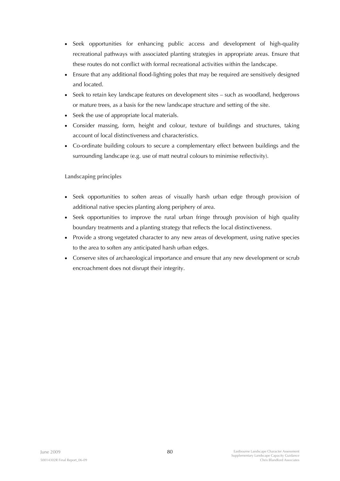- Seek opportunities for enhancing public access and development of high-quality recreational pathways with associated planting strategies in appropriate areas. Ensure that these routes do not conflict with formal recreational activities within the landscape.
- Ensure that any additional flood-lighting poles that may be required are sensitively designed and located.
- Seek to retain key landscape features on development sites such as woodland, hedgerows or mature trees, as a basis for the new landscape structure and setting of the site.
- Seek the use of appropriate local materials.
- Consider massing, form, height and colour, texture of buildings and structures, taking account of local distinctiveness and characteristics.
- Co-ordinate building colours to secure a complementary effect between buildings and the surrounding landscape (e.g. use of matt neutral colours to minimise reflectivity).

- Seek opportunities to soften areas of visually harsh urban edge through provision of additional native species planting along periphery of area.
- Seek opportunities to improve the rural urban fringe through provision of high quality boundary treatments and a planting strategy that reflects the local distinctiveness.
- Provide a strong vegetated character to any new areas of development, using native species to the area to soften any anticipated harsh urban edges.
- Conserve sites of archaeological importance and ensure that any new development or scrub encroachment does not disrupt their integrity.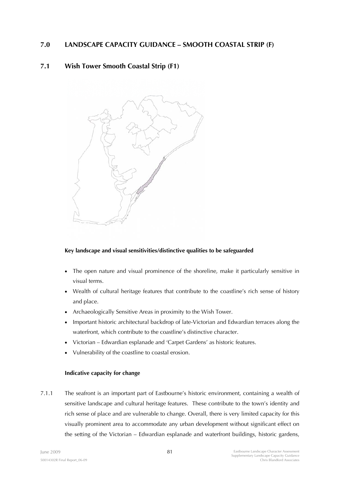# **7.0 LANDSCAPE CAPACITY GUIDANCE – SMOOTH COASTAL STRIP (F)**

# **7.1 Wish Tower Smooth Coastal Strip (F1)**



# **Key landscape and visual sensitivities/distinctive qualities to be safeguarded**

- The open nature and visual prominence of the shoreline, make it particularly sensitive in visual terms.
- Wealth of cultural heritage features that contribute to the coastline's rich sense of history and place.
- Archaeologically Sensitive Areas in proximity to the Wish Tower.
- Important historic architectural backdrop of late-Victorian and Edwardian terraces along the waterfront, which contribute to the coastline's distinctive character.
- Victorian Edwardian esplanade and 'Carpet Gardens' as historic features.
- Vulnerability of the coastline to coastal erosion.

### **Indicative capacity for change**

7.1.1 The seafront is an important part of Eastbourne's historic environment, containing a wealth of sensitive landscape and cultural heritage features. These contribute to the town's identity and rich sense of place and are vulnerable to change. Overall, there is very limited capacity for this visually prominent area to accommodate any urban development without significant effect on the setting of the Victorian – Edwardian esplanade and waterfront buildings, historic gardens,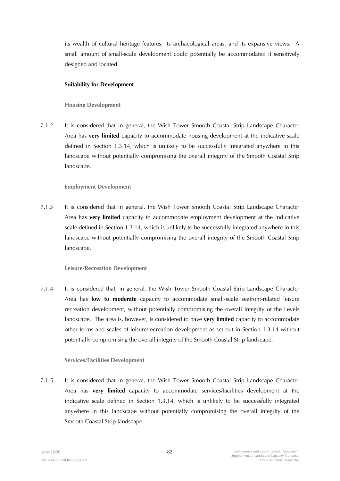its wealth of cultural heritage features, its archaeological areas, and its expansive views. A small amount of small-scale development could potentially be accommodated if sensitively designed and located.

### **Suitability for Development**

## **Housing Development**

7.1.2 It is considered that in general, the Wish Tower Smooth Coastal Strip Landscape Character Area has **very limited** capacity to accommodate housing development at the indicative scale defined in Section 1.3.14, which is unlikely to be successfully integrated anywhere in this landscape without potentially compromising the overall integrity of the Smooth Coastal Strip landscape.

## **Employment Development**

7.1.3 It is considered that in general, the Wish Tower Smooth Coastal Strip Landscape Character Area has **very limited** capacity to accommodate employment development at the indicative scale defined in Section 1.3.14, which is unlikely to be successfully integrated anywhere in this landscape without potentially compromising the overall integrity of the Smooth Coastal Strip landscape.

# **Leisure/Recreation Development**

7.1.4 It is considered that, in general, the Wish Tower Smooth Coastal Strip Landscape Character Area has **low to moderate** capacity to accommodate small-scale seafront-related leisure recreation development, without potentially compromising the overall integrity of the Levels landscape. The area is, however, is considered to have **very limited** capacity to accommodate other forms and scales of leisure/recreation development as set out in Section 1.3.14 without potentially compromising the overall integrity of the Smooth Coastal Strip landscape.

### **Services/Facilities Development**

7.1.5 It is considered that in general, the Wish Tower Smooth Coastal Strip Landscape Character Area has **very limited** capacity to accommodate services/facilities development at the indicative scale defined in Section 1.3.14, which is unlikely to be successfully integrated anywhere in this landscape without potentially compromising the overall integrity of the Smooth Coastal Strip landscape.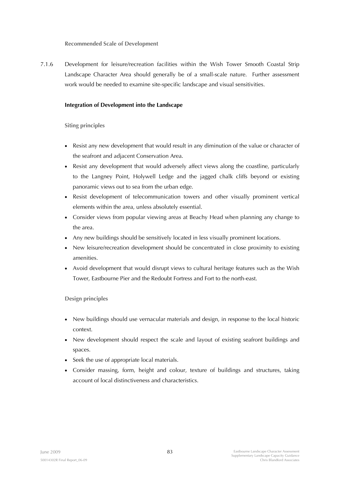**Recommended Scale of Development** 

7.1.6 Development for leisure/recreation facilities within the Wish Tower Smooth Coastal Strip Landscape Character Area should generally be of a small-scale nature. Further assessment work would be needed to examine site-specific landscape and visual sensitivities.

### **Integration of Development into the Landscape**

## **Siting principles**

- Resist any new development that would result in any diminution of the value or character of the seafront and adjacent Conservation Area.
- Resist any development that would adversely affect views along the coastline, particularly to the Langney Point, Holywell Ledge and the jagged chalk cliffs beyond or existing panoramic views out to sea from the urban edge.
- Resist development of telecommunication towers and other visually prominent vertical elements within the area, unless absolutely essential.
- Consider views from popular viewing areas at Beachy Head when planning any change to the area.
- Any new buildings should be sensitively located in less visually prominent locations.
- New leisure/recreation development should be concentrated in close proximity to existing amenities.
- Avoid development that would disrupt views to cultural heritage features such as the Wish Tower, Eastbourne Pier and the Redoubt Fortress and Fort to the north-east.

# **Design principles**

- New buildings should use vernacular materials and design, in response to the local historic context.
- New development should respect the scale and layout of existing seafront buildings and spaces.
- Seek the use of appropriate local materials.
- Consider massing, form, height and colour, texture of buildings and structures, taking account of local distinctiveness and characteristics.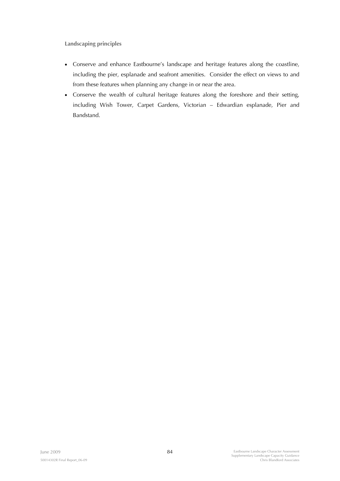- Conserve and enhance Eastbourne's landscape and heritage features along the coastline, including the pier, esplanade and seafront amenities. Consider the effect on views to and from these features when planning any change in or near the area.
- Conserve the wealth of cultural heritage features along the foreshore and their setting, including Wish Tower, Carpet Gardens, Victorian – Edwardian esplanade, Pier and Bandstand.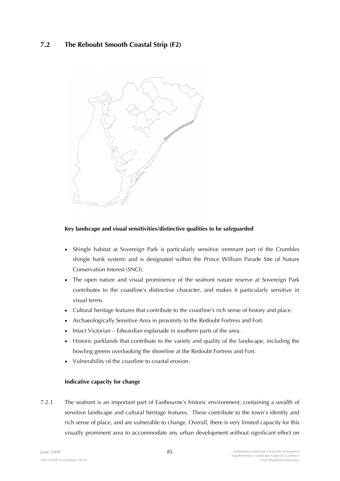# **7.2 The Reboubt Smooth Coastal Strip (F2)**



### **Key landscape and visual sensitivities/distinctive qualities to be safeguarded**

- Shingle habitat at Sovereign Park is particularly sensitive (remnant part of the Crumbles shingle bank system) and is designated within the Prince William Parade Site of Nature Conservation Interest (SNCI).
- The open nature and visual prominence of the seafront nature reserve at Sovereign Park contributes to the coastline's distinctive character, and makes it particularly sensitive in visual terms.
- Cultural heritage features that contribute to the coastline's rich sense of history and place.
- Archaeologically Sensitive Area in proximity to the Redoubt Fortress and Fort.
- Intact Victorian Edwardian esplanade in southern parts of the area.
- Historic parklands that contribute to the variety and quality of the landscape, including the bowling greens overlooking the shoreline at the Redoubt Fortress and Fort.
- Vulnerability of the coastline to coastal erosion.

#### **Indicative capacity for change**

7.2.1 The seafront is an important part of Eastbourne's historic environment, containing a wealth of sensitive landscape and cultural heritage features. These contribute to the town's identity and rich sense of place, and are vulnerable to change. Overall, there is very limited capacity for this visually prominent area to accommodate any urban development without significant effect on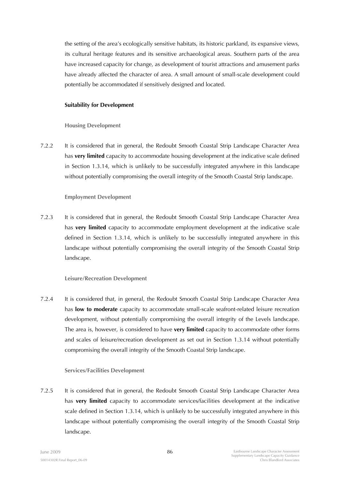the setting of the area's ecologically sensitive habitats, its historic parkland, its expansive views, its cultural heritage features and its sensitive archaeological areas. Southern parts of the area have increased capacity for change, as development of tourist attractions and amusement parks have already affected the character of area. A small amount of small-scale development could potentially be accommodated if sensitively designed and located.

#### **Suitability for Development**

### **Housing Development**

7.2.2 It is considered that in general, the Redoubt Smooth Coastal Strip Landscape Character Area has **very limited** capacity to accommodate housing development at the indicative scale defined in Section 1.3.14, which is unlikely to be successfully integrated anywhere in this landscape without potentially compromising the overall integrity of the Smooth Coastal Strip landscape.

### **Employment Development**

7.2.3 It is considered that in general, the Redoubt Smooth Coastal Strip Landscape Character Area has **very limited** capacity to accommodate employment development at the indicative scale defined in Section 1.3.14, which is unlikely to be successfully integrated anywhere in this landscape without potentially compromising the overall integrity of the Smooth Coastal Strip landscape.

### **Leisure/Recreation Development**

7.2.4 It is considered that, in general, the Redoubt Smooth Coastal Strip Landscape Character Area has **low to moderate** capacity to accommodate small-scale seafront-related leisure recreation development, without potentially compromising the overall integrity of the Levels landscape. The area is, however, is considered to have **very limited** capacity to accommodate other forms and scales of leisure/recreation development as set out in Section 1.3.14 without potentially compromising the overall integrity of the Smooth Coastal Strip landscape.

### **Services/Facilities Development**

7.2.5 It is considered that in general, the Redoubt Smooth Coastal Strip Landscape Character Area has **very limited** capacity to accommodate services/facilities development at the indicative scale defined in Section 1.3.14, which is unlikely to be successfully integrated anywhere in this landscape without potentially compromising the overall integrity of the Smooth Coastal Strip landscape.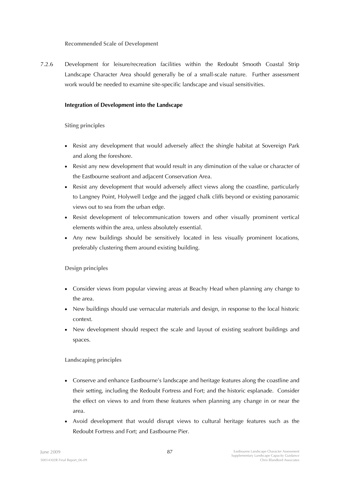**Recommended Scale of Development** 

7.2.6 Development for leisure/recreation facilities within the Redoubt Smooth Coastal Strip Landscape Character Area should generally be of a small-scale nature. Further assessment work would be needed to examine site-specific landscape and visual sensitivities.

### **Integration of Development into the Landscape**

## **Siting principles**

- Resist any development that would adversely affect the shingle habitat at Sovereign Park and along the foreshore.
- Resist any new development that would result in any diminution of the value or character of the Eastbourne seafront and adjacent Conservation Area.
- Resist any development that would adversely affect views along the coastline, particularly to Langney Point, Holywell Ledge and the jagged chalk cliffs beyond or existing panoramic views out to sea from the urban edge.
- Resist development of telecommunication towers and other visually prominent vertical elements within the area, unless absolutely essential.
- Any new buildings should be sensitively located in less visually prominent locations, preferably clustering them around existing building.

# **Design principles**

- Consider views from popular viewing areas at Beachy Head when planning any change to the area.
- New buildings should use vernacular materials and design, in response to the local historic context.
- New development should respect the scale and layout of existing seafront buildings and spaces.

- Conserve and enhance Eastbourne's landscape and heritage features along the coastline and their setting, including the Redoubt Fortress and Fort; and the historic esplanade. Consider the effect on views to and from these features when planning any change in or near the area.
- Avoid development that would disrupt views to cultural heritage features such as the Redoubt Fortress and Fort; and Eastbourne Pier.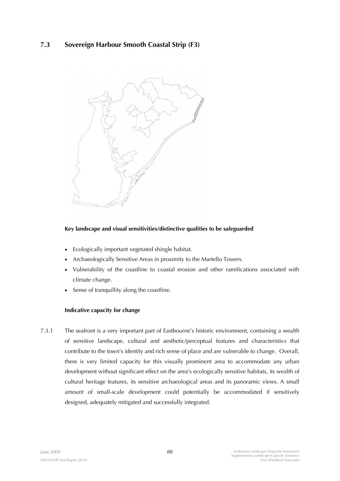# **7.3 Sovereign Harbour Smooth Coastal Strip (F3)**



## **Key landscape and visual sensitivities/distinctive qualities to be safeguarded**

- Ecologically important vegetated shingle habitat.
- Archaeologically Sensitive Areas in proximity to the Martello Towers.
- Vulnerability of the coastline to coastal erosion and other ramifications associated with climate change.
- Sense of tranquillity along the coastline.

### **Indicative capacity for change**

7.3.1 The seafront is a very important part of Eastbourne's historic environment, containing a wealth of sensitive landscape, cultural and aesthetic/perceptual features and characteristics that contribute to the town's identity and rich sense of place and are vulnerable to change. Overall, there is very limited capacity for this visually prominent area to accommodate any urban development without significant effect on the area's ecologically sensitive habitats, its wealth of cultural heritage features, its sensitive archaeological areas and its panoramic views. A small amount of small-scale development could potentially be accommodated if sensitively designed, adequately mitigated and successfully integrated.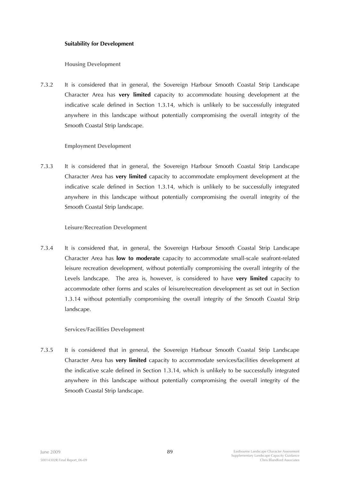#### **Suitability for Development**

**Housing Development** 

7.3.2 It is considered that in general, the Sovereign Harbour Smooth Coastal Strip Landscape Character Area has **very limited** capacity to accommodate housing development at the indicative scale defined in Section 1.3.14, which is unlikely to be successfully integrated anywhere in this landscape without potentially compromising the overall integrity of the Smooth Coastal Strip landscape.

### **Employment Development**

7.3.3 It is considered that in general, the Sovereign Harbour Smooth Coastal Strip Landscape Character Area has **very limited** capacity to accommodate employment development at the indicative scale defined in Section 1.3.14, which is unlikely to be successfully integrated anywhere in this landscape without potentially compromising the overall integrity of the Smooth Coastal Strip landscape.

### **Leisure/Recreation Development**

7.3.4 It is considered that, in general, the Sovereign Harbour Smooth Coastal Strip Landscape Character Area has **low to moderate** capacity to accommodate small-scale seafront-related leisure recreation development, without potentially compromising the overall integrity of the Levels landscape. The area is, however, is considered to have **very limited** capacity to accommodate other forms and scales of leisure/recreation development as set out in Section 1.3.14 without potentially compromising the overall integrity of the Smooth Coastal Strip landscape.

### **Services/Facilities Development**

7.3.5 It is considered that in general, the Sovereign Harbour Smooth Coastal Strip Landscape Character Area has **very limited** capacity to accommodate services/facilities development at the indicative scale defined in Section 1.3.14, which is unlikely to be successfully integrated anywhere in this landscape without potentially compromising the overall integrity of the Smooth Coastal Strip landscape.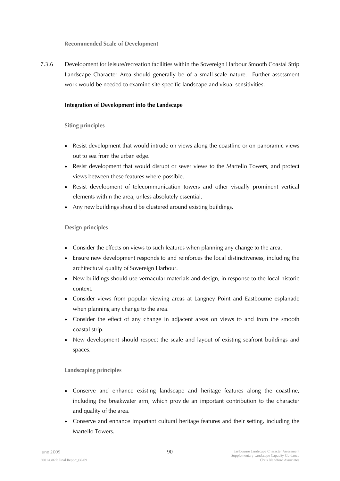**Recommended Scale of Development** 

7.3.6 Development for leisure/recreation facilities within the Sovereign Harbour Smooth Coastal Strip Landscape Character Area should generally be of a small-scale nature. Further assessment work would be needed to examine site-specific landscape and visual sensitivities.

### **Integration of Development into the Landscape**

## **Siting principles**

- Resist development that would intrude on views along the coastline or on panoramic views out to sea from the urban edge.
- Resist development that would disrupt or sever views to the Martello Towers, and protect views between these features where possible.
- Resist development of telecommunication towers and other visually prominent vertical elements within the area, unless absolutely essential.
- Any new buildings should be clustered around existing buildings.

# **Design principles**

- Consider the effects on views to such features when planning any change to the area.
- Ensure new development responds to and reinforces the local distinctiveness, including the architectural quality of Sovereign Harbour.
- New buildings should use vernacular materials and design, in response to the local historic context.
- Consider views from popular viewing areas at Langney Point and Eastbourne esplanade when planning any change to the area.
- Consider the effect of any change in adjacent areas on views to and from the smooth coastal strip.
- New development should respect the scale and layout of existing seafront buildings and spaces.

- Conserve and enhance existing landscape and heritage features along the coastline, including the breakwater arm, which provide an important contribution to the character and quality of the area.
- Conserve and enhance important cultural heritage features and their setting, including the Martello Towers.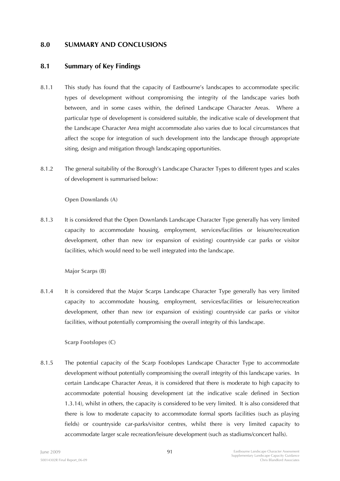# **8.0 SUMMARY AND CONCLUSIONS**

# **8.1 Summary of Key Findings**

- 8.1.1 This study has found that the capacity of Eastbourne's landscapes to accommodate specific types of development without compromising the integrity of the landscape varies both between, and in some cases within, the defined Landscape Character Areas. Where a particular type of development is considered suitable, the indicative scale of development that the Landscape Character Area might accommodate also varies due to local circumstances that affect the scope for integration of such development into the landscape through appropriate siting, design and mitigation through landscaping opportunities.
- 8.1.2 The general suitability of the Borough's Landscape Character Types to different types and scales of development is summarised below:

**Open Downlands (A)** 

8.1.3 It is considered that the Open Downlands Landscape Character Type generally has very limited capacity to accommodate housing, employment, services/facilities or leisure/recreation development, other than new (or expansion of existing) countryside car parks or visitor facilities, which would need to be well integrated into the landscape.

**Major Scarps (B)** 

8.1.4 It is considered that the Major Scarps Landscape Character Type generally has very limited capacity to accommodate housing, employment, services/facilities or leisure/recreation development, other than new (or expansion of existing) countryside car parks or visitor facilities, without potentially compromising the overall integrity of this landscape.

**Scarp Footslopes (C)** 

8.1.5 The potential capacity of the Scarp Footslopes Landscape Character Type to accommodate development without potentially compromising the overall integrity of this landscape varies. In certain Landscape Character Areas, it is considered that there is moderate to high capacity to accommodate potential housing development (at the indicative scale defined in Section 1.3.14), whilst in others, the capacity is considered to be very limited. It is also considered that there is low to moderate capacity to accommodate formal sports facilities (such as playing fields) or countryside car-parks/visitor centres, whilst there is very limited capacity to accommodate larger scale recreation/leisure development (such as stadiums/concert halls).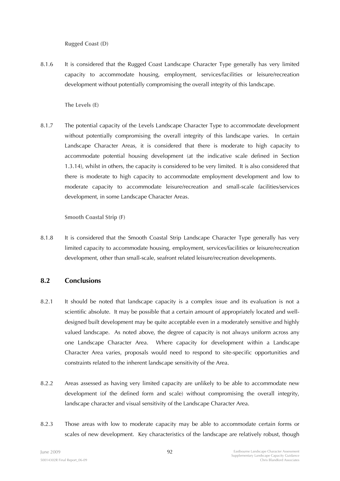**Rugged Coast (D)** 

8.1.6 It is considered that the Rugged Coast Landscape Character Type generally has very limited capacity to accommodate housing, employment, services/facilities or leisure/recreation development without potentially compromising the overall integrity of this landscape.

**The Levels (E)** 

8.1.7 The potential capacity of the Levels Landscape Character Type to accommodate development without potentially compromising the overall integrity of this landscape varies. In certain Landscape Character Areas, it is considered that there is moderate to high capacity to accommodate potential housing development (at the indicative scale defined in Section 1.3.14), whilst in others, the capacity is considered to be very limited. It is also considered that there is moderate to high capacity to accommodate employment development and low to moderate capacity to accommodate leisure/recreation and small-scale facilities/services development, in some Landscape Character Areas.

**Smooth Coastal Strip (F)** 

8.1.8 It is considered that the Smooth Coastal Strip Landscape Character Type generally has very limited capacity to accommodate housing, employment, services/facilities or leisure/recreation development, other than small-scale, seafront related leisure/recreation developments.

# **8.2 Conclusions**

- 8.2.1 It should be noted that landscape capacity is a complex issue and its evaluation is not a scientific absolute. It may be possible that a certain amount of appropriately located and welldesigned built development may be quite acceptable even in a moderately sensitive and highly valued landscape. As noted above, the degree of capacity is not always uniform across any one Landscape Character Area. Where capacity for development within a Landscape Character Area varies, proposals would need to respond to site-specific opportunities and constraints related to the inherent landscape sensitivity of the Area.
- 8.2.2 Areas assessed as having very limited capacity are unlikely to be able to accommodate new development (of the defined form and scale) without compromising the overall integrity, landscape character and visual sensitivity of the Landscape Character Area.
- 8.2.3 Those areas with low to moderate capacity may be able to accommodate certain forms or scales of new development. Key characteristics of the landscape are relatively robust, though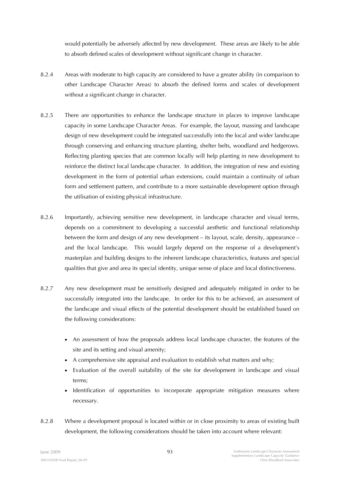would potentially be adversely affected by new development. These areas are likely to be able to absorb defined scales of development without significant change in character.

- 8.2.4 Areas with moderate to high capacity are considered to have a greater ability (in comparison to other Landscape Character Areas) to absorb the defined forms and scales of development without a significant change in character.
- 8.2.5 There are opportunities to enhance the landscape structure in places to improve landscape capacity in some Landscape Character Areas. For example, the layout, massing and landscape design of new development could be integrated successfully into the local and wider landscape through conserving and enhancing structure planting, shelter belts, woodland and hedgerows. Reflecting planting species that are common locally will help planting in new development to reinforce the distinct local landscape character. In addition, the integration of new and existing development in the form of potential urban extensions, could maintain a continuity of urban form and settlement pattern, and contribute to a more sustainable development option through the utilisation of existing physical infrastructure.
- 8.2.6 Importantly, achieving sensitive new development, in landscape character and visual terms, depends on a commitment to developing a successful aesthetic and functional relationship between the form and design of any new development – its layout, scale, density, appearance – and the local landscape. This would largely depend on the response of a development's masterplan and building designs to the inherent landscape characteristics, features and special qualities that give and area its special identity, unique sense of place and local distinctiveness.
- 8.2.7 Any new development must be sensitively designed and adequately mitigated in order to be successfully integrated into the landscape. In order for this to be achieved, an assessment of the landscape and visual effects of the potential development should be established based on the following considerations:
	- An assessment of how the proposals address local landscape character, the features of the site and its setting and visual amenity;
	- A comprehensive site appraisal and evaluation to establish what matters and why;
	- Evaluation of the overall suitability of the site for development in landscape and visual terms;
	- Identification of opportunities to incorporate appropriate mitigation measures where necessary.
- 8.2.8 Where a development proposal is located within or in close proximity to areas of existing built development, the following considerations should be taken into account where relevant: